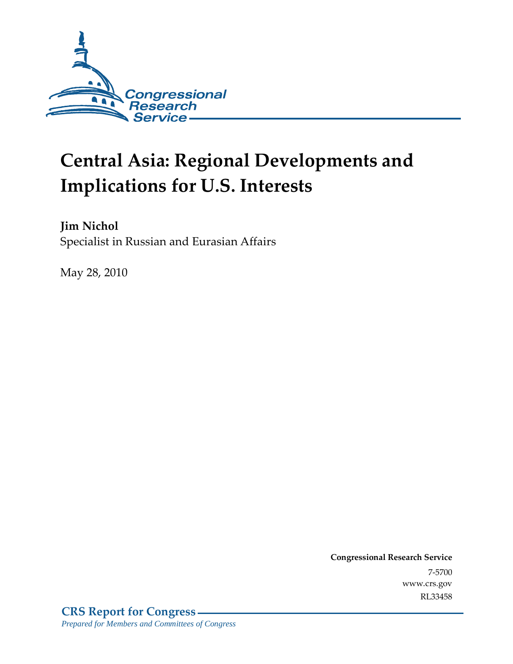

# **Central Asia: Regional Developments and Implications for U.S. Interests**

**Jim Nichol**  Specialist in Russian and Eurasian Affairs

May 28, 2010

**Congressional Research Service** 7-5700 www.crs.gov RL33458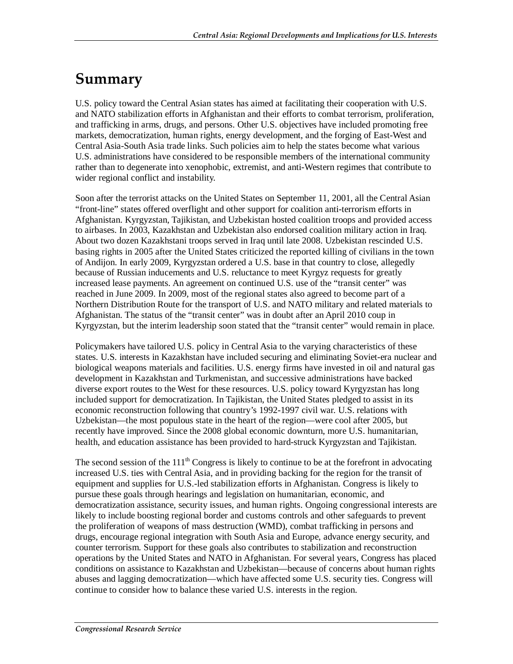# **Summary**

U.S. policy toward the Central Asian states has aimed at facilitating their cooperation with U.S. and NATO stabilization efforts in Afghanistan and their efforts to combat terrorism, proliferation, and trafficking in arms, drugs, and persons. Other U.S. objectives have included promoting free markets, democratization, human rights, energy development, and the forging of East-West and Central Asia-South Asia trade links. Such policies aim to help the states become what various U.S. administrations have considered to be responsible members of the international community rather than to degenerate into xenophobic, extremist, and anti-Western regimes that contribute to wider regional conflict and instability.

Soon after the terrorist attacks on the United States on September 11, 2001, all the Central Asian "front-line" states offered overflight and other support for coalition anti-terrorism efforts in Afghanistan. Kyrgyzstan, Tajikistan, and Uzbekistan hosted coalition troops and provided access to airbases. In 2003, Kazakhstan and Uzbekistan also endorsed coalition military action in Iraq. About two dozen Kazakhstani troops served in Iraq until late 2008. Uzbekistan rescinded U.S. basing rights in 2005 after the United States criticized the reported killing of civilians in the town of Andijon. In early 2009, Kyrgyzstan ordered a U.S. base in that country to close, allegedly because of Russian inducements and U.S. reluctance to meet Kyrgyz requests for greatly increased lease payments. An agreement on continued U.S. use of the "transit center" was reached in June 2009. In 2009, most of the regional states also agreed to become part of a Northern Distribution Route for the transport of U.S. and NATO military and related materials to Afghanistan. The status of the "transit center" was in doubt after an April 2010 coup in Kyrgyzstan, but the interim leadership soon stated that the "transit center" would remain in place.

Policymakers have tailored U.S. policy in Central Asia to the varying characteristics of these states. U.S. interests in Kazakhstan have included securing and eliminating Soviet-era nuclear and biological weapons materials and facilities. U.S. energy firms have invested in oil and natural gas development in Kazakhstan and Turkmenistan, and successive administrations have backed diverse export routes to the West for these resources. U.S. policy toward Kyrgyzstan has long included support for democratization. In Tajikistan, the United States pledged to assist in its economic reconstruction following that country's 1992-1997 civil war. U.S. relations with Uzbekistan—the most populous state in the heart of the region—were cool after 2005, but recently have improved. Since the 2008 global economic downturn, more U.S. humanitarian, health, and education assistance has been provided to hard-struck Kyrgyzstan and Tajikistan.

The second session of the  $111<sup>th</sup>$  Congress is likely to continue to be at the forefront in advocating increased U.S. ties with Central Asia, and in providing backing for the region for the transit of equipment and supplies for U.S.-led stabilization efforts in Afghanistan. Congress is likely to pursue these goals through hearings and legislation on humanitarian, economic, and democratization assistance, security issues, and human rights. Ongoing congressional interests are likely to include boosting regional border and customs controls and other safeguards to prevent the proliferation of weapons of mass destruction (WMD), combat trafficking in persons and drugs, encourage regional integration with South Asia and Europe, advance energy security, and counter terrorism. Support for these goals also contributes to stabilization and reconstruction operations by the United States and NATO in Afghanistan. For several years, Congress has placed conditions on assistance to Kazakhstan and Uzbekistan—because of concerns about human rights abuses and lagging democratization—which have affected some U.S. security ties. Congress will continue to consider how to balance these varied U.S. interests in the region.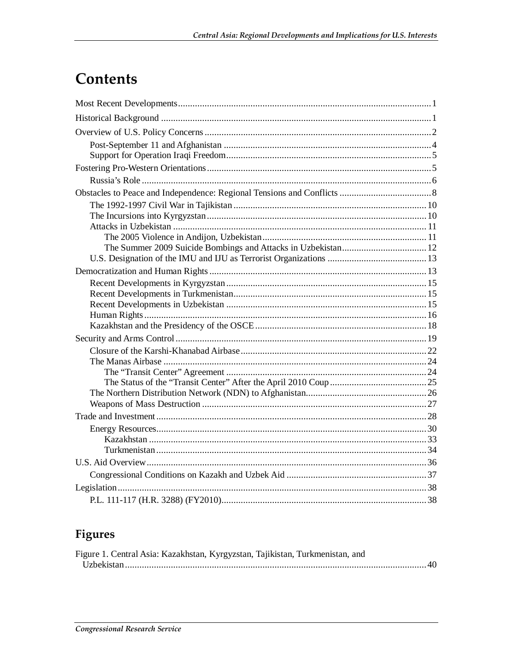# Contents

## Figures

| Figure 1. Central Asia: Kazakhstan, Kyrgyzstan, Tajikistan, Turkmenistan, and |  |
|-------------------------------------------------------------------------------|--|
|                                                                               |  |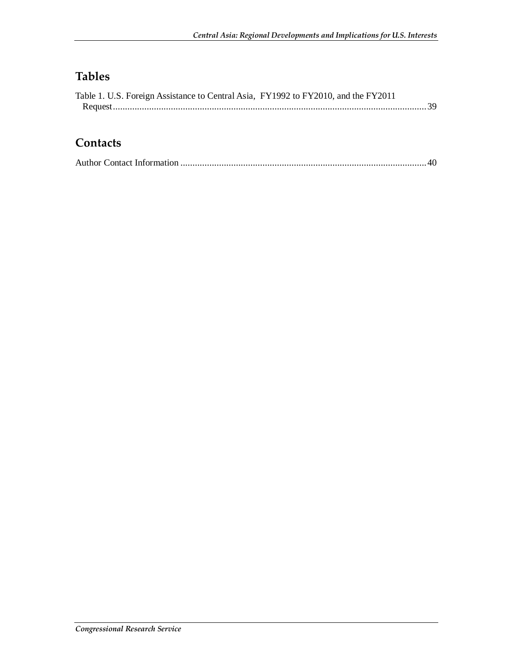## **Tables**

| Table 1. U.S. Foreign Assistance to Central Asia, FY1992 to FY2010, and the FY2011 |  |
|------------------------------------------------------------------------------------|--|
|                                                                                    |  |

#### **Contacts**

|--|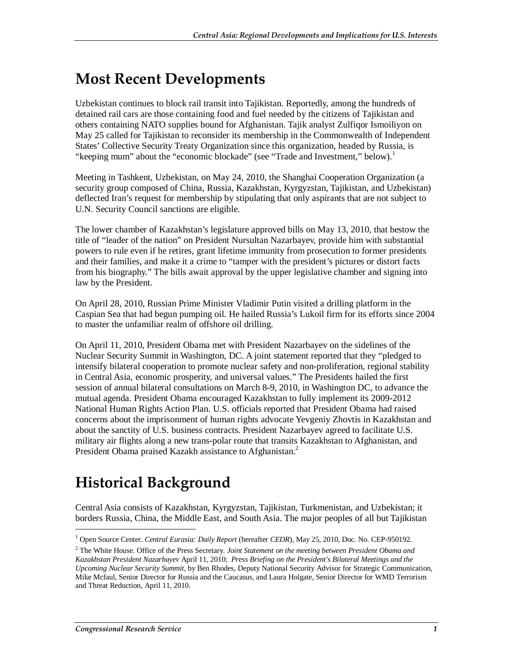# **Most Recent Developments**

Uzbekistan continues to block rail transit into Tajikistan. Reportedly, among the hundreds of detained rail cars are those containing food and fuel needed by the citizens of Tajikistan and others containing NATO supplies bound for Afghanistan. Tajik analyst Zulfiqor Ismoiliyon on May 25 called for Tajikistan to reconsider its membership in the Commonwealth of Independent States' Collective Security Treaty Organization since this organization, headed by Russia, is "keeping mum" about the "economic blockade" (see "Trade and Investment," below).<sup>1</sup>

Meeting in Tashkent, Uzbekistan, on May 24, 2010, the Shanghai Cooperation Organization (a security group composed of China, Russia, Kazakhstan, Kyrgyzstan, Tajikistan, and Uzbekistan) deflected Iran's request for membership by stipulating that only aspirants that are not subject to U.N. Security Council sanctions are eligible.

The lower chamber of Kazakhstan's legislature approved bills on May 13, 2010, that bestow the title of "leader of the nation" on President Nursultan Nazarbayev, provide him with substantial powers to rule even if he retires, grant lifetime immunity from prosecution to former presidents and their families, and make it a crime to "tamper with the president's pictures or distort facts from his biography." The bills await approval by the upper legislative chamber and signing into law by the President.

On April 28, 2010, Russian Prime Minister Vladimir Putin visited a drilling platform in the Caspian Sea that had begun pumping oil. He hailed Russia's Lukoil firm for its efforts since 2004 to master the unfamiliar realm of offshore oil drilling.

On April 11, 2010, President Obama met with President Nazarbayev on the sidelines of the Nuclear Security Summit in Washington, DC. A joint statement reported that they "pledged to intensify bilateral cooperation to promote nuclear safety and non-proliferation, regional stability in Central Asia, economic prosperity, and universal values." The Presidents hailed the first session of annual bilateral consultations on March 8-9, 2010, in Washington DC, to advance the mutual agenda. President Obama encouraged Kazakhstan to fully implement its 2009-2012 National Human Rights Action Plan. U.S. officials reported that President Obama had raised concerns about the imprisonment of human rights advocate Yevgeniy Zhovtis in Kazakhstan and about the sanctity of U.S. business contracts. President Nazarbayev agreed to facilitate U.S. military air flights along a new trans-polar route that transits Kazakhstan to Afghanistan, and President Obama praised Kazakh assistance to Afghanistan.<sup>2</sup>

# **Historical Background**

Central Asia consists of Kazakhstan, Kyrgyzstan, Tajikistan, Turkmenistan, and Uzbekistan; it borders Russia, China, the Middle East, and South Asia. The major peoples of all but Tajikistan

<sup>1</sup> Open Source Center. *Central Eurasia: Daily Report* (hereafter *CEDR*), May 25, 2010, Doc. No. CEP-950192.

<sup>2</sup> The White House. Office of the Press Secretary. *Joint Statement on the meeting between President Obama and* 

*Kazakhstan President Nazarbayev* April 11, 2010; *Press Briefing on the President's Bilateral Meetings and the Upcoming Nuclear Security Summit*, by Ben Rhodes, Deputy National Security Advisor for Strategic Communication, Mike Mcfaul, Senior Director for Russia and the Caucasus, and Laura Holgate, Senior Director for WMD Terrorism and Threat Reduction, April 11, 2010.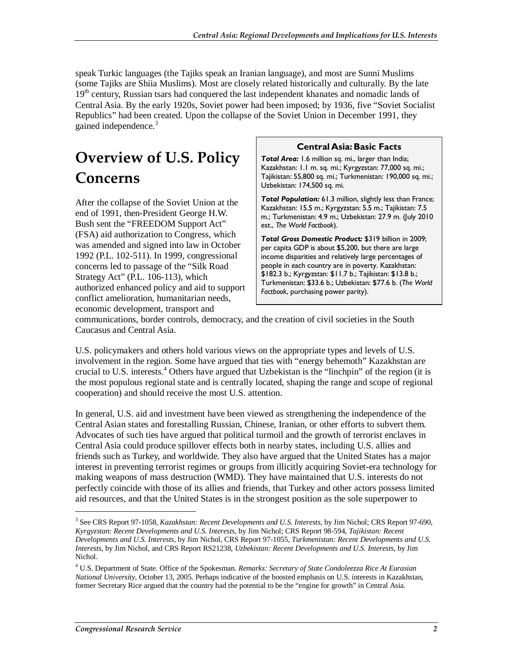speak Turkic languages (the Tajiks speak an Iranian language), and most are Sunni Muslims (some Tajiks are Shiia Muslims). Most are closely related historically and culturally. By the late 19<sup>th</sup> century, Russian tsars had conquered the last independent khanates and nomadic lands of Central Asia. By the early 1920s, Soviet power had been imposed; by 1936, five "Soviet Socialist Republics" had been created. Upon the collapse of the Soviet Union in December 1991, they gained independence.<sup>3</sup>

# **Overview of U.S. Policy Concerns**

After the collapse of the Soviet Union at the end of 1991, then-President George H.W. Bush sent the "FREEDOM Support Act" (FSA) aid authorization to Congress, which was amended and signed into law in October 1992 (P.L. 102-511). In 1999, congressional concerns led to passage of the "Silk Road Strategy Act" (P.L. 106-113), which authorized enhanced policy and aid to support conflict amelioration, humanitarian needs, economic development, transport and

#### **Central Asia: Basic Facts**

*Total Area:* 1.6 million sq. mi., larger than India; Kazakhstan: 1.1 m. sq. mi.; Kyrgyzstan: 77,000 sq. mi.; Tajikistan: 55,800 sq. mi.; Turkmenistan: 190,000 sq. mi.; Uzbekistan: 174,500 sq. mi.

*Total Population:* 61.3 million, slightly less than France; Kazakhstan: 15.5 m.; Kyrgyzstan: 5.5 m.; Tajikistan: 7.5 m.; Turkmenistan: 4.9 m.; Uzbekistan: 27.9 m. (July 2010 est., *The World Factbook*).

*Total Gross Domestic Product:* \$319 billion in 2009; per capita GDP is about \$5,200, but there are large income disparities and relatively large percentages of people in each country are in poverty. Kazakhstan: \$182.3 b.; Kyrgyzstan: \$11.7 b.; Tajikistan: \$13.8 b.; Turkmenistan: \$33.6 b.; Uzbekistan: \$77.6 b. (*The World Factbook*, purchasing power parity).

communications, border controls, democracy, and the creation of civil societies in the South Caucasus and Central Asia.

U.S. policymakers and others hold various views on the appropriate types and levels of U.S. involvement in the region. Some have argued that ties with "energy behemoth" Kazakhstan are crucial to U.S. interests.<sup>4</sup> Others have argued that Uzbekistan is the "linchpin" of the region (it is the most populous regional state and is centrally located, shaping the range and scope of regional cooperation) and should receive the most U.S. attention.

In general, U.S. aid and investment have been viewed as strengthening the independence of the Central Asian states and forestalling Russian, Chinese, Iranian, or other efforts to subvert them. Advocates of such ties have argued that political turmoil and the growth of terrorist enclaves in Central Asia could produce spillover effects both in nearby states, including U.S. allies and friends such as Turkey, and worldwide. They also have argued that the United States has a major interest in preventing terrorist regimes or groups from illicitly acquiring Soviet-era technology for making weapons of mass destruction (WMD). They have maintained that U.S. interests do not perfectly coincide with those of its allies and friends, that Turkey and other actors possess limited aid resources, and that the United States is in the strongest position as the sole superpower to

<sup>3</sup> See CRS Report 97-1058, *Kazakhstan: Recent Developments and U.S. Interests*, by Jim Nichol; CRS Report 97-690, *Kyrgyzstan: Recent Developments and U.S. Interests*, by Jim Nichol; CRS Report 98-594, *Tajikistan: Recent Developments and U.S. Interests*, by Jim Nichol, CRS Report 97-1055, *Turkmenistan: Recent Developments and U.S. Interests*, by Jim Nichol, and CRS Report RS21238, *Uzbekistan: Recent Developments and U.S. Interests*, by Jim Nichol.

<sup>4</sup> U.S. Department of State. Office of the Spokesman. *Remarks: Secretary of State Condoleezza Rice At Eurasian National University*, October 13, 2005. Perhaps indicative of the boosted emphasis on U.S. interests in Kazakhstan, former Secretary Rice argued that the country had the potential to be the "engine for growth" in Central Asia.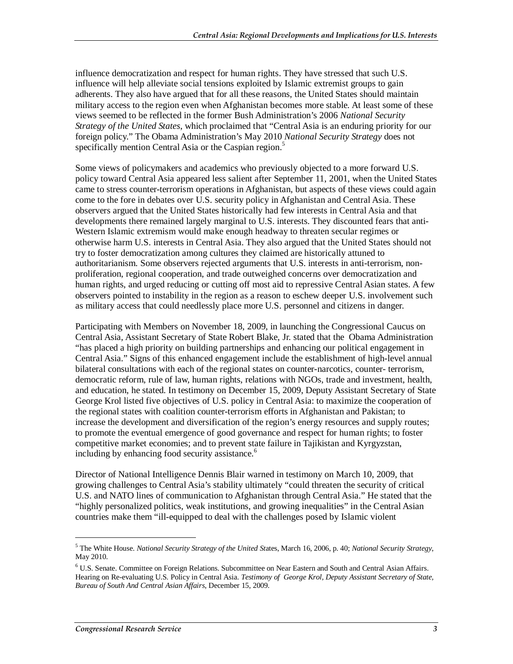influence democratization and respect for human rights. They have stressed that such U.S. influence will help alleviate social tensions exploited by Islamic extremist groups to gain adherents. They also have argued that for all these reasons, the United States should maintain military access to the region even when Afghanistan becomes more stable. At least some of these views seemed to be reflected in the former Bush Administration's 2006 *National Security Strategy of the United States*, which proclaimed that "Central Asia is an enduring priority for our foreign policy." The Obama Administration's May 2010 *National Security Strategy* does not specifically mention Central Asia or the Caspian region.<sup>5</sup>

Some views of policymakers and academics who previously objected to a more forward U.S. policy toward Central Asia appeared less salient after September 11, 2001, when the United States came to stress counter-terrorism operations in Afghanistan, but aspects of these views could again come to the fore in debates over U.S. security policy in Afghanistan and Central Asia. These observers argued that the United States historically had few interests in Central Asia and that developments there remained largely marginal to U.S. interests. They discounted fears that anti-Western Islamic extremism would make enough headway to threaten secular regimes or otherwise harm U.S. interests in Central Asia. They also argued that the United States should not try to foster democratization among cultures they claimed are historically attuned to authoritarianism. Some observers rejected arguments that U.S. interests in anti-terrorism, nonproliferation, regional cooperation, and trade outweighed concerns over democratization and human rights, and urged reducing or cutting off most aid to repressive Central Asian states. A few observers pointed to instability in the region as a reason to eschew deeper U.S. involvement such as military access that could needlessly place more U.S. personnel and citizens in danger.

Participating with Members on November 18, 2009, in launching the Congressional Caucus on Central Asia, Assistant Secretary of State Robert Blake, Jr. stated that the Obama Administration "has placed a high priority on building partnerships and enhancing our political engagement in Central Asia." Signs of this enhanced engagement include the establishment of high-level annual bilateral consultations with each of the regional states on counter-narcotics, counter- terrorism, democratic reform, rule of law, human rights, relations with NGOs, trade and investment, health, and education, he stated. In testimony on December 15, 2009, Deputy Assistant Secretary of State George Krol listed five objectives of U.S. policy in Central Asia: to maximize the cooperation of the regional states with coalition counter-terrorism efforts in Afghanistan and Pakistan; to increase the development and diversification of the region's energy resources and supply routes; to promote the eventual emergence of good governance and respect for human rights; to foster competitive market economies; and to prevent state failure in Tajikistan and Kyrgyzstan, including by enhancing food security assistance.<sup>6</sup>

Director of National Intelligence Dennis Blair warned in testimony on March 10, 2009, that growing challenges to Central Asia's stability ultimately "could threaten the security of critical U.S. and NATO lines of communication to Afghanistan through Central Asia." He stated that the "highly personalized politics, weak institutions, and growing inequalities" in the Central Asian countries make them "ill-equipped to deal with the challenges posed by Islamic violent

<sup>5</sup> The White House. *National Security Strategy of the United St*ates, March 16, 2006, p. 40; *National Security Strategy*, May 2010.

<sup>&</sup>lt;sup>6</sup> U.S. Senate. Committee on Foreign Relations. Subcommittee on Near Eastern and South and Central Asian Affairs. Hearing on Re-evaluating U.S. Policy in Central Asia. *Testimony of George Krol, Deputy Assistant Secretary of State, Bureau of South And Central Asian Affairs*, December 15, 2009.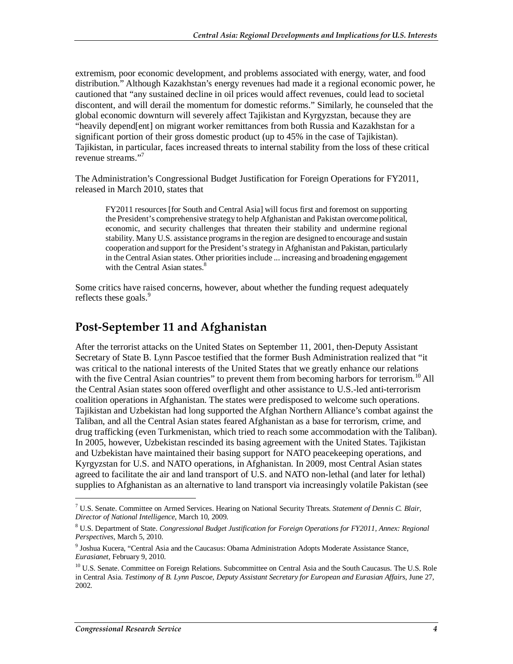extremism, poor economic development, and problems associated with energy, water, and food distribution." Although Kazakhstan's energy revenues had made it a regional economic power, he cautioned that "any sustained decline in oil prices would affect revenues, could lead to societal discontent, and will derail the momentum for domestic reforms." Similarly, he counseled that the global economic downturn will severely affect Tajikistan and Kyrgyzstan, because they are "heavily depend[ent] on migrant worker remittances from both Russia and Kazakhstan for a significant portion of their gross domestic product (up to 45% in the case of Tajikistan). Tajikistan, in particular, faces increased threats to internal stability from the loss of these critical revenue streams."7

The Administration's Congressional Budget Justification for Foreign Operations for FY2011, released in March 2010, states that

FY2011 resources [for South and Central Asia] will focus first and foremost on supporting the President's comprehensive strategy to help Afghanistan and Pakistan overcome political, economic, and security challenges that threaten their stability and undermine regional stability. Many U.S. assistance programs in the region are designed to encourage and sustain cooperation and support for the President's strategy in Afghanistan and Pakistan, particularly in the Central Asian states. Other priorities include ... increasing and broadening engagement with the Central Asian states.<sup>8</sup>

Some critics have raised concerns, however, about whether the funding request adequately reflects these goals.<sup>9</sup>

#### **Post-September 11 and Afghanistan**

After the terrorist attacks on the United States on September 11, 2001, then-Deputy Assistant Secretary of State B. Lynn Pascoe testified that the former Bush Administration realized that "it was critical to the national interests of the United States that we greatly enhance our relations with the five Central Asian countries" to prevent them from becoming harbors for terrorism.<sup>10</sup> All the Central Asian states soon offered overflight and other assistance to U.S.-led anti-terrorism coalition operations in Afghanistan. The states were predisposed to welcome such operations. Tajikistan and Uzbekistan had long supported the Afghan Northern Alliance's combat against the Taliban, and all the Central Asian states feared Afghanistan as a base for terrorism, crime, and drug trafficking (even Turkmenistan, which tried to reach some accommodation with the Taliban). In 2005, however, Uzbekistan rescinded its basing agreement with the United States. Tajikistan and Uzbekistan have maintained their basing support for NATO peacekeeping operations, and Kyrgyzstan for U.S. and NATO operations, in Afghanistan. In 2009, most Central Asian states agreed to facilitate the air and land transport of U.S. and NATO non-lethal (and later for lethal) supplies to Afghanistan as an alternative to land transport via increasingly volatile Pakistan (see

<sup>7</sup> U.S. Senate. Committee on Armed Services. Hearing on National Security Threats. *Statement of Dennis C. Blair, Director of National Intelligence*, March 10, 2009.

<sup>8</sup> U.S. Department of State. *Congressional Budget Justification for Foreign Operations for FY2011, Annex: Regional Perspectives*, March 5, 2010.

<sup>&</sup>lt;sup>9</sup> Joshua Kucera, "Central Asia and the Caucasus: Obama Administration Adopts Moderate Assistance Stance, *Eurasianet*, February 9, 2010.

<sup>&</sup>lt;sup>10</sup> U.S. Senate. Committee on Foreign Relations. Subcommittee on Central Asia and the South Caucasus. The U.S. Role in Central Asia. *Testimony of B. Lynn Pascoe, Deputy Assistant Secretary for European and Eurasian Affairs*, June 27, 2002.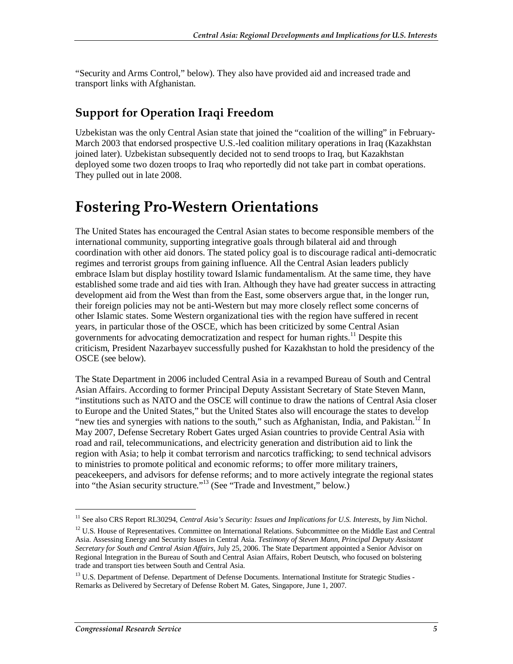"Security and Arms Control*,*" below). They also have provided aid and increased trade and transport links with Afghanistan.

## **Support for Operation Iraqi Freedom**

Uzbekistan was the only Central Asian state that joined the "coalition of the willing" in February-March 2003 that endorsed prospective U.S.-led coalition military operations in Iraq (Kazakhstan joined later). Uzbekistan subsequently decided not to send troops to Iraq, but Kazakhstan deployed some two dozen troops to Iraq who reportedly did not take part in combat operations. They pulled out in late 2008.

# **Fostering Pro-Western Orientations**

The United States has encouraged the Central Asian states to become responsible members of the international community, supporting integrative goals through bilateral aid and through coordination with other aid donors. The stated policy goal is to discourage radical anti-democratic regimes and terrorist groups from gaining influence. All the Central Asian leaders publicly embrace Islam but display hostility toward Islamic fundamentalism. At the same time, they have established some trade and aid ties with Iran. Although they have had greater success in attracting development aid from the West than from the East, some observers argue that, in the longer run, their foreign policies may not be anti-Western but may more closely reflect some concerns of other Islamic states. Some Western organizational ties with the region have suffered in recent years, in particular those of the OSCE, which has been criticized by some Central Asian governments for advocating democratization and respect for human rights.<sup>11</sup> Despite this criticism, President Nazarbayev successfully pushed for Kazakhstan to hold the presidency of the OSCE (see below).

The State Department in 2006 included Central Asia in a revamped Bureau of South and Central Asian Affairs. According to former Principal Deputy Assistant Secretary of State Steven Mann, "institutions such as NATO and the OSCE will continue to draw the nations of Central Asia closer to Europe and the United States," but the United States also will encourage the states to develop "new ties and synergies with nations to the south," such as Afghanistan, India, and Pakistan.<sup>12</sup> In May 2007, Defense Secretary Robert Gates urged Asian countries to provide Central Asia with road and rail, telecommunications, and electricity generation and distribution aid to link the region with Asia; to help it combat terrorism and narcotics trafficking; to send technical advisors to ministries to promote political and economic reforms; to offer more military trainers, peacekeepers, and advisors for defense reforms; and to more actively integrate the regional states into "the Asian security structure."<sup>13</sup> (See "Trade and Investment," below.)

<sup>&</sup>lt;sup>11</sup> See also CRS Report RL30294, *Central Asia's Security: Issues and Implications for U.S. Interests*, by Jim Nichol.

<sup>&</sup>lt;sup>12</sup> U.S. House of Representatives. Committee on International Relations. Subcommittee on the Middle East and Central Asia. Assessing Energy and Security Issues in Central Asia. *Testimony of Steven Mann, Principal Deputy Assistant Secretary for South and Central Asian Affairs*, July 25, 2006. The State Department appointed a Senior Advisor on Regional Integration in the Bureau of South and Central Asian Affairs, Robert Deutsch, who focused on bolstering trade and transport ties between South and Central Asia.

<sup>&</sup>lt;sup>13</sup> U.S. Department of Defense. Department of Defense Documents. International Institute for Strategic Studies -Remarks as Delivered by Secretary of Defense Robert M. Gates, Singapore, June 1, 2007.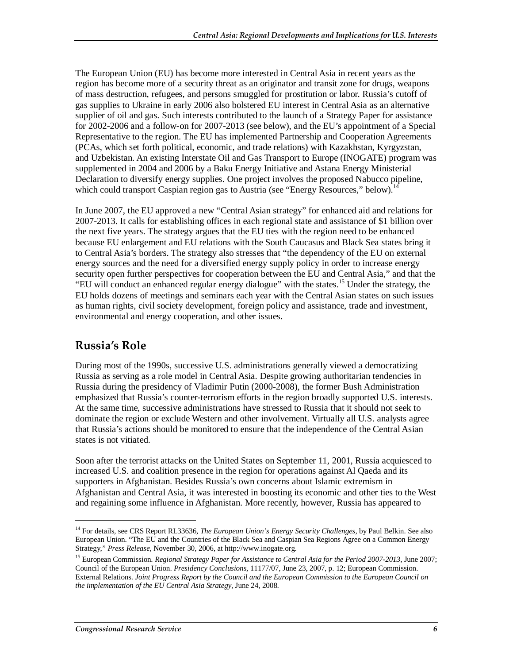The European Union (EU) has become more interested in Central Asia in recent years as the region has become more of a security threat as an originator and transit zone for drugs, weapons of mass destruction, refugees, and persons smuggled for prostitution or labor. Russia's cutoff of gas supplies to Ukraine in early 2006 also bolstered EU interest in Central Asia as an alternative supplier of oil and gas. Such interests contributed to the launch of a Strategy Paper for assistance for 2002-2006 and a follow-on for 2007-2013 (see below), and the EU's appointment of a Special Representative to the region. The EU has implemented Partnership and Cooperation Agreements (PCAs, which set forth political, economic, and trade relations) with Kazakhstan, Kyrgyzstan, and Uzbekistan. An existing Interstate Oil and Gas Transport to Europe (INOGATE) program was supplemented in 2004 and 2006 by a Baku Energy Initiative and Astana Energy Ministerial Declaration to diversify energy supplies. One project involves the proposed Nabucco pipeline, which could transport Caspian region gas to Austria (see "Energy Resources," below).<sup>1</sup>

In June 2007, the EU approved a new "Central Asian strategy" for enhanced aid and relations for 2007-2013. It calls for establishing offices in each regional state and assistance of \$1 billion over the next five years. The strategy argues that the EU ties with the region need to be enhanced because EU enlargement and EU relations with the South Caucasus and Black Sea states bring it to Central Asia's borders. The strategy also stresses that "the dependency of the EU on external energy sources and the need for a diversified energy supply policy in order to increase energy security open further perspectives for cooperation between the EU and Central Asia," and that the "EU will conduct an enhanced regular energy dialogue" with the states.15 Under the strategy, the EU holds dozens of meetings and seminars each year with the Central Asian states on such issues as human rights, civil society development, foreign policy and assistance, trade and investment, environmental and energy cooperation, and other issues.

#### **Russia's Role**

1

During most of the 1990s, successive U.S. administrations generally viewed a democratizing Russia as serving as a role model in Central Asia. Despite growing authoritarian tendencies in Russia during the presidency of Vladimir Putin (2000-2008), the former Bush Administration emphasized that Russia's counter-terrorism efforts in the region broadly supported U.S. interests. At the same time, successive administrations have stressed to Russia that it should not seek to dominate the region or exclude Western and other involvement. Virtually all U.S. analysts agree that Russia's actions should be monitored to ensure that the independence of the Central Asian states is not vitiated.

Soon after the terrorist attacks on the United States on September 11, 2001, Russia acquiesced to increased U.S. and coalition presence in the region for operations against Al Qaeda and its supporters in Afghanistan. Besides Russia's own concerns about Islamic extremism in Afghanistan and Central Asia, it was interested in boosting its economic and other ties to the West and regaining some influence in Afghanistan. More recently, however, Russia has appeared to

<sup>&</sup>lt;sup>14</sup> For details, see CRS Report RL33636, *The European Union's Energy Security Challenges*, by Paul Belkin. See also European Union. "The EU and the Countries of the Black Sea and Caspian Sea Regions Agree on a Common Energy Strategy," *Press Release*, November 30, 2006, at http://www.inogate.org.

<sup>15</sup> European Commission. *Regional Strategy Paper for Assistance to Central Asia for the Period 2007-2013*, June 2007; Council of the European Union. *Presidency Conclusions*, 11177/07, June 23, 2007, p. 12; European Commission. External Relations. *Joint Progress Report by the Council and the European Commission to the European Council on the implementation of the EU Central Asia Strategy*, June 24, 2008.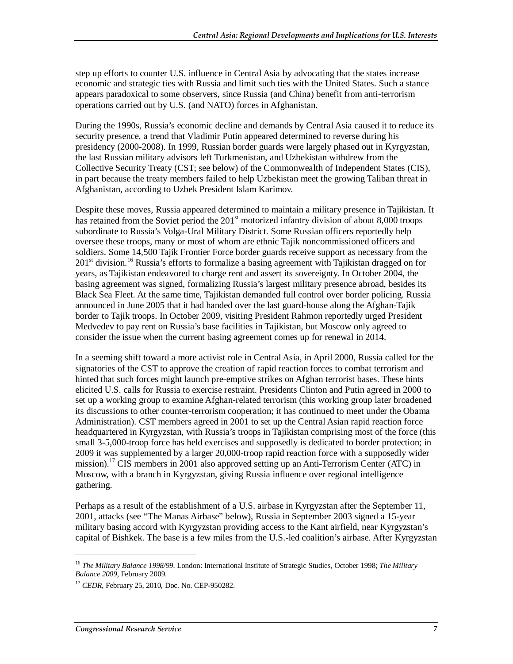step up efforts to counter U.S. influence in Central Asia by advocating that the states increase economic and strategic ties with Russia and limit such ties with the United States. Such a stance appears paradoxical to some observers, since Russia (and China) benefit from anti-terrorism operations carried out by U.S. (and NATO) forces in Afghanistan.

During the 1990s, Russia's economic decline and demands by Central Asia caused it to reduce its security presence, a trend that Vladimir Putin appeared determined to reverse during his presidency (2000-2008). In 1999, Russian border guards were largely phased out in Kyrgyzstan, the last Russian military advisors left Turkmenistan, and Uzbekistan withdrew from the Collective Security Treaty (CST; see below) of the Commonwealth of Independent States (CIS), in part because the treaty members failed to help Uzbekistan meet the growing Taliban threat in Afghanistan, according to Uzbek President Islam Karimov.

Despite these moves, Russia appeared determined to maintain a military presence in Tajikistan. It has retained from the Soviet period the  $201<sup>st</sup>$  motorized infantry division of about 8,000 troops subordinate to Russia's Volga-Ural Military District. Some Russian officers reportedly help oversee these troops, many or most of whom are ethnic Tajik noncommissioned officers and soldiers. Some 14,500 Tajik Frontier Force border guards receive support as necessary from the  $201<sup>st</sup>$  division.<sup>16</sup> Russia's efforts to formalize a basing agreement with Tajikistan dragged on for years, as Tajikistan endeavored to charge rent and assert its sovereignty. In October 2004, the basing agreement was signed, formalizing Russia's largest military presence abroad, besides its Black Sea Fleet. At the same time, Tajikistan demanded full control over border policing. Russia announced in June 2005 that it had handed over the last guard-house along the Afghan-Tajik border to Tajik troops. In October 2009, visiting President Rahmon reportedly urged President Medvedev to pay rent on Russia's base facilities in Tajikistan, but Moscow only agreed to consider the issue when the current basing agreement comes up for renewal in 2014.

In a seeming shift toward a more activist role in Central Asia, in April 2000, Russia called for the signatories of the CST to approve the creation of rapid reaction forces to combat terrorism and hinted that such forces might launch pre-emptive strikes on Afghan terrorist bases. These hints elicited U.S. calls for Russia to exercise restraint. Presidents Clinton and Putin agreed in 2000 to set up a working group to examine Afghan-related terrorism (this working group later broadened its discussions to other counter-terrorism cooperation; it has continued to meet under the Obama Administration). CST members agreed in 2001 to set up the Central Asian rapid reaction force headquartered in Kyrgyzstan, with Russia's troops in Tajikistan comprising most of the force (this small 3-5,000-troop force has held exercises and supposedly is dedicated to border protection; in 2009 it was supplemented by a larger 20,000-troop rapid reaction force with a supposedly wider mission).17 CIS members in 2001 also approved setting up an Anti-Terrorism Center (ATC) in Moscow, with a branch in Kyrgyzstan, giving Russia influence over regional intelligence gathering.

Perhaps as a result of the establishment of a U.S. airbase in Kyrgyzstan after the September 11, 2001, attacks (see "The Manas Airbase" below), Russia in September 2003 signed a 15-year military basing accord with Kyrgyzstan providing access to the Kant airfield, near Kyrgyzstan's capital of Bishkek. The base is a few miles from the U.S.-led coalition's airbase. After Kyrgyzstan

<sup>16</sup> *The Military Balance 1998/99.* London: International Institute of Strategic Studies, October 1998; *The Military Balance 2009*, February 2009.

<sup>17</sup> *CEDR*, February 25, 2010, Doc. No. CEP-950282.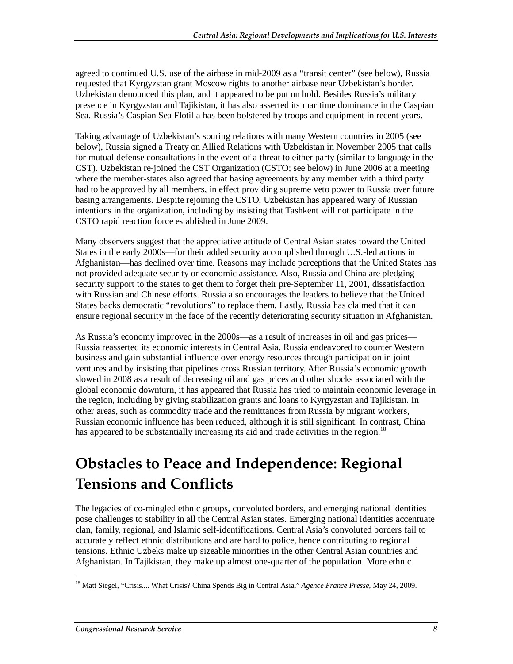agreed to continued U.S. use of the airbase in mid-2009 as a "transit center" (see below), Russia requested that Kyrgyzstan grant Moscow rights to another airbase near Uzbekistan's border. Uzbekistan denounced this plan, and it appeared to be put on hold. Besides Russia's military presence in Kyrgyzstan and Tajikistan, it has also asserted its maritime dominance in the Caspian Sea. Russia's Caspian Sea Flotilla has been bolstered by troops and equipment in recent years.

Taking advantage of Uzbekistan's souring relations with many Western countries in 2005 (see below), Russia signed a Treaty on Allied Relations with Uzbekistan in November 2005 that calls for mutual defense consultations in the event of a threat to either party (similar to language in the CST). Uzbekistan re-joined the CST Organization (CSTO; see below) in June 2006 at a meeting where the member-states also agreed that basing agreements by any member with a third party had to be approved by all members, in effect providing supreme veto power to Russia over future basing arrangements. Despite rejoining the CSTO, Uzbekistan has appeared wary of Russian intentions in the organization, including by insisting that Tashkent will not participate in the CSTO rapid reaction force established in June 2009.

Many observers suggest that the appreciative attitude of Central Asian states toward the United States in the early 2000s—for their added security accomplished through U.S.-led actions in Afghanistan—has declined over time. Reasons may include perceptions that the United States has not provided adequate security or economic assistance. Also, Russia and China are pledging security support to the states to get them to forget their pre-September 11, 2001, dissatisfaction with Russian and Chinese efforts. Russia also encourages the leaders to believe that the United States backs democratic "revolutions" to replace them. Lastly, Russia has claimed that it can ensure regional security in the face of the recently deteriorating security situation in Afghanistan.

As Russia's economy improved in the 2000s—as a result of increases in oil and gas prices— Russia reasserted its economic interests in Central Asia. Russia endeavored to counter Western business and gain substantial influence over energy resources through participation in joint ventures and by insisting that pipelines cross Russian territory. After Russia's economic growth slowed in 2008 as a result of decreasing oil and gas prices and other shocks associated with the global economic downturn, it has appeared that Russia has tried to maintain economic leverage in the region, including by giving stabilization grants and loans to Kyrgyzstan and Tajikistan. In other areas, such as commodity trade and the remittances from Russia by migrant workers, Russian economic influence has been reduced, although it is still significant. In contrast, China has appeared to be substantially increasing its aid and trade activities in the region.<sup>18</sup>

# **Obstacles to Peace and Independence: Regional Tensions and Conflicts**

The legacies of co-mingled ethnic groups, convoluted borders, and emerging national identities pose challenges to stability in all the Central Asian states. Emerging national identities accentuate clan, family, regional, and Islamic self-identifications. Central Asia's convoluted borders fail to accurately reflect ethnic distributions and are hard to police, hence contributing to regional tensions. Ethnic Uzbeks make up sizeable minorities in the other Central Asian countries and Afghanistan. In Tajikistan, they make up almost one-quarter of the population. More ethnic

<sup>18</sup> Matt Siegel, "Crisis.... What Crisis? China Spends Big in Central Asia," *Agence France Presse*, May 24, 2009.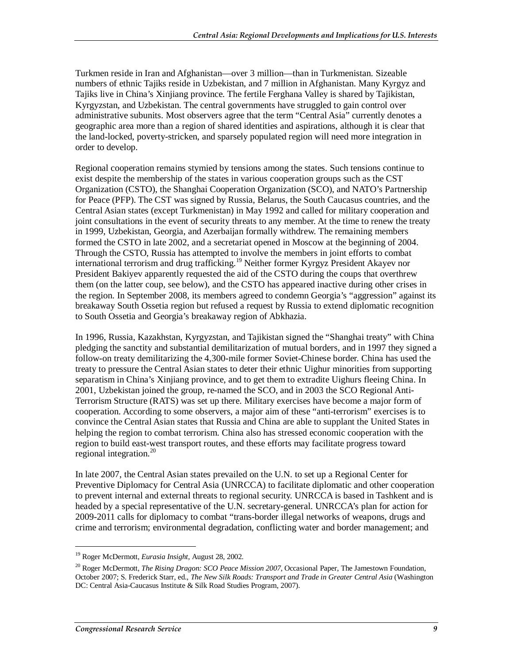Turkmen reside in Iran and Afghanistan—over 3 million—than in Turkmenistan. Sizeable numbers of ethnic Tajiks reside in Uzbekistan, and 7 million in Afghanistan. Many Kyrgyz and Tajiks live in China's Xinjiang province. The fertile Ferghana Valley is shared by Tajikistan, Kyrgyzstan, and Uzbekistan. The central governments have struggled to gain control over administrative subunits. Most observers agree that the term "Central Asia" currently denotes a geographic area more than a region of shared identities and aspirations, although it is clear that the land-locked, poverty-stricken, and sparsely populated region will need more integration in order to develop.

Regional cooperation remains stymied by tensions among the states. Such tensions continue to exist despite the membership of the states in various cooperation groups such as the CST Organization (CSTO), the Shanghai Cooperation Organization (SCO), and NATO's Partnership for Peace (PFP). The CST was signed by Russia, Belarus, the South Caucasus countries, and the Central Asian states (except Turkmenistan) in May 1992 and called for military cooperation and joint consultations in the event of security threats to any member. At the time to renew the treaty in 1999, Uzbekistan, Georgia, and Azerbaijan formally withdrew. The remaining members formed the CSTO in late 2002, and a secretariat opened in Moscow at the beginning of 2004. Through the CSTO, Russia has attempted to involve the members in joint efforts to combat international terrorism and drug trafficking.19 Neither former Kyrgyz President Akayev nor President Bakiyev apparently requested the aid of the CSTO during the coups that overthrew them (on the latter coup, see below), and the CSTO has appeared inactive during other crises in the region. In September 2008, its members agreed to condemn Georgia's "aggression" against its breakaway South Ossetia region but refused a request by Russia to extend diplomatic recognition to South Ossetia and Georgia's breakaway region of Abkhazia.

In 1996, Russia, Kazakhstan, Kyrgyzstan, and Tajikistan signed the "Shanghai treaty" with China pledging the sanctity and substantial demilitarization of mutual borders, and in 1997 they signed a follow-on treaty demilitarizing the 4,300-mile former Soviet-Chinese border. China has used the treaty to pressure the Central Asian states to deter their ethnic Uighur minorities from supporting separatism in China's Xinjiang province, and to get them to extradite Uighurs fleeing China. In 2001, Uzbekistan joined the group, re-named the SCO, and in 2003 the SCO Regional Anti-Terrorism Structure (RATS) was set up there. Military exercises have become a major form of cooperation. According to some observers, a major aim of these "anti-terrorism" exercises is to convince the Central Asian states that Russia and China are able to supplant the United States in helping the region to combat terrorism. China also has stressed economic cooperation with the region to build east-west transport routes, and these efforts may facilitate progress toward regional integration. $^{20}$ 

In late 2007, the Central Asian states prevailed on the U.N. to set up a Regional Center for Preventive Diplomacy for Central Asia (UNRCCA) to facilitate diplomatic and other cooperation to prevent internal and external threats to regional security. UNRCCA is based in Tashkent and is headed by a special representative of the U.N. secretary-general. UNRCCA's plan for action for 2009-2011 calls for diplomacy to combat "trans-border illegal networks of weapons, drugs and crime and terrorism; environmental degradation, conflicting water and border management; and

<sup>19</sup> Roger McDermott, *Eurasia Insight*, August 28, 2002.

<sup>20</sup> Roger McDermott, *The Rising Dragon: SCO Peace Mission 2007*, Occasional Paper, The Jamestown Foundation, October 2007; S. Frederick Starr, ed., *The New Silk Roads: Transport and Trade in Greater Central Asia* (Washington DC: Central Asia-Caucasus Institute & Silk Road Studies Program, 2007).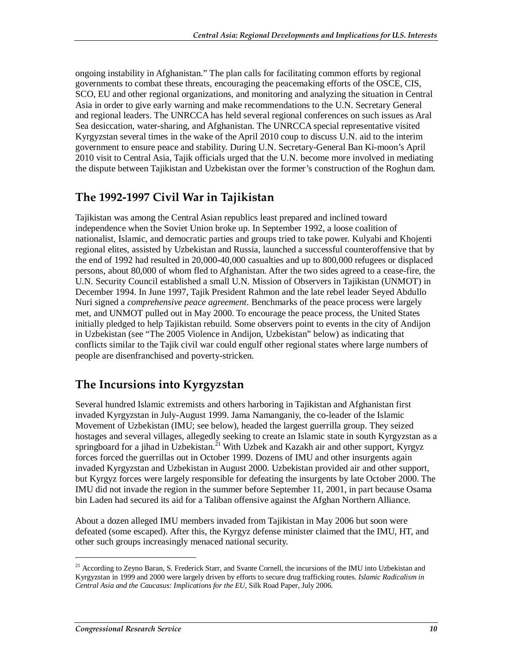ongoing instability in Afghanistan." The plan calls for facilitating common efforts by regional governments to combat these threats, encouraging the peacemaking efforts of the OSCE, CIS, SCO, EU and other regional organizations, and monitoring and analyzing the situation in Central Asia in order to give early warning and make recommendations to the U.N. Secretary General and regional leaders. The UNRCCA has held several regional conferences on such issues as Aral Sea desiccation, water-sharing, and Afghanistan. The UNRCCA special representative visited Kyrgyzstan several times in the wake of the April 2010 coup to discuss U.N. aid to the interim government to ensure peace and stability. During U.N. Secretary-General Ban Ki-moon's April 2010 visit to Central Asia, Tajik officials urged that the U.N. become more involved in mediating the dispute between Tajikistan and Uzbekistan over the former's construction of the Roghun dam.

#### **The 1992-1997 Civil War in Tajikistan**

Tajikistan was among the Central Asian republics least prepared and inclined toward independence when the Soviet Union broke up. In September 1992, a loose coalition of nationalist, Islamic, and democratic parties and groups tried to take power. Kulyabi and Khojenti regional elites, assisted by Uzbekistan and Russia, launched a successful counteroffensive that by the end of 1992 had resulted in 20,000-40,000 casualties and up to 800,000 refugees or displaced persons, about 80,000 of whom fled to Afghanistan. After the two sides agreed to a cease-fire, the U.N. Security Council established a small U.N. Mission of Observers in Tajikistan (UNMOT) in December 1994. In June 1997, Tajik President Rahmon and the late rebel leader Seyed Abdullo Nuri signed a *comprehensive peace agreement*. Benchmarks of the peace process were largely met, and UNMOT pulled out in May 2000. To encourage the peace process, the United States initially pledged to help Tajikistan rebuild. Some observers point to events in the city of Andijon in Uzbekistan (see "The 2005 Violence in Andijon, Uzbekistan" below) as indicating that conflicts similar to the Tajik civil war could engulf other regional states where large numbers of people are disenfranchised and poverty-stricken.

## **The Incursions into Kyrgyzstan**

Several hundred Islamic extremists and others harboring in Tajikistan and Afghanistan first invaded Kyrgyzstan in July-August 1999. Jama Namanganiy, the co-leader of the Islamic Movement of Uzbekistan (IMU; see below), headed the largest guerrilla group. They seized hostages and several villages, allegedly seeking to create an Islamic state in south Kyrgyzstan as a springboard for a jihad in Uzbekistan.<sup>21</sup> With Uzbek and Kazakh air and other support, Kyrgyz forces forced the guerrillas out in October 1999. Dozens of IMU and other insurgents again invaded Kyrgyzstan and Uzbekistan in August 2000. Uzbekistan provided air and other support, but Kyrgyz forces were largely responsible for defeating the insurgents by late October 2000. The IMU did not invade the region in the summer before September 11, 2001, in part because Osama bin Laden had secured its aid for a Taliban offensive against the Afghan Northern Alliance.

About a dozen alleged IMU members invaded from Tajikistan in May 2006 but soon were defeated (some escaped). After this, the Kyrgyz defense minister claimed that the IMU, HT, and other such groups increasingly menaced national security.

<sup>&</sup>lt;sup>21</sup> According to Zeyno Baran, S. Frederick Starr, and Svante Cornell, the incursions of the IMU into Uzbekistan and Kyrgyzstan in 1999 and 2000 were largely driven by efforts to secure drug trafficking routes. *Islamic Radicalism in Central Asia and the Caucasus: Implications for the EU*, Silk Road Paper, July 2006.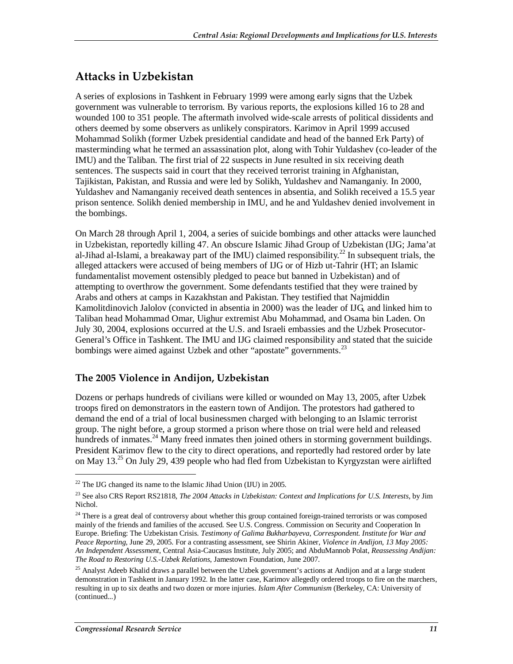## **Attacks in Uzbekistan**

A series of explosions in Tashkent in February 1999 were among early signs that the Uzbek government was vulnerable to terrorism. By various reports, the explosions killed 16 to 28 and wounded 100 to 351 people. The aftermath involved wide-scale arrests of political dissidents and others deemed by some observers as unlikely conspirators. Karimov in April 1999 accused Mohammad Solikh (former Uzbek presidential candidate and head of the banned Erk Party) of masterminding what he termed an assassination plot, along with Tohir Yuldashev (co-leader of the IMU) and the Taliban. The first trial of 22 suspects in June resulted in six receiving death sentences. The suspects said in court that they received terrorist training in Afghanistan, Tajikistan, Pakistan, and Russia and were led by Solikh, Yuldashev and Namanganiy. In 2000, Yuldashev and Namanganiy received death sentences in absentia, and Solikh received a 15.5 year prison sentence. Solikh denied membership in IMU, and he and Yuldashev denied involvement in the bombings.

On March 28 through April 1, 2004, a series of suicide bombings and other attacks were launched in Uzbekistan, reportedly killing 47. An obscure Islamic Jihad Group of Uzbekistan (IJG; Jama'at al-Jihad al-Islami, a breakaway part of the IMU) claimed responsibility.<sup>22</sup> In subsequent trials, the alleged attackers were accused of being members of IJG or of Hizb ut-Tahrir (HT; an Islamic fundamentalist movement ostensibly pledged to peace but banned in Uzbekistan) and of attempting to overthrow the government. Some defendants testified that they were trained by Arabs and others at camps in Kazakhstan and Pakistan. They testified that Najmiddin Kamolitdinovich Jalolov (convicted in absentia in 2000) was the leader of IJG, and linked him to Taliban head Mohammad Omar, Uighur extremist Abu Mohammad, and Osama bin Laden. On July 30, 2004, explosions occurred at the U.S. and Israeli embassies and the Uzbek Prosecutor-General's Office in Tashkent. The IMU and IJG claimed responsibility and stated that the suicide bombings were aimed against Uzbek and other "apostate" governments.<sup>23</sup>

#### **The 2005 Violence in Andijon, Uzbekistan**

Dozens or perhaps hundreds of civilians were killed or wounded on May 13, 2005, after Uzbek troops fired on demonstrators in the eastern town of Andijon. The protestors had gathered to demand the end of a trial of local businessmen charged with belonging to an Islamic terrorist group. The night before, a group stormed a prison where those on trial were held and released hundreds of inmates.<sup>24</sup> Many freed inmates then joined others in storming government buildings. President Karimov flew to the city to direct operations, and reportedly had restored order by late on May 13.<sup>25</sup> On July 29, 439 people who had fled from Uzbekistan to Kyrgyzstan were airlifted

 $22$  The IJG changed its name to the Islamic Jihad Union (IJU) in 2005.

<sup>23</sup> See also CRS Report RS21818, *The 2004 Attacks in Uzbekistan: Context and Implications for U.S. Interests*, by Jim Nichol.

 $24$  There is a great deal of controversy about whether this group contained foreign-trained terrorists or was composed mainly of the friends and families of the accused. See U.S. Congress. Commission on Security and Cooperation In Europe. Briefing: The Uzbekistan Crisis. *Testimony of Galima Bukharbayeva, Correspondent. Institute for War and Peace Reporting,* June 29, 2005. For a contrasting assessment, see Shirin Akiner, *Violence in Andijon, 13 May 2005: An Independent Assessment*, Central Asia-Caucasus Institute, July 2005; and AbduMannob Polat, *Reassessing Andijan: The Road to Restoring U.S.-Uzbek Relations*, Jamestown Foundation, June 2007.

<sup>&</sup>lt;sup>25</sup> Analyst Adeeb Khalid draws a parallel between the Uzbek government's actions at Andijon and at a large student demonstration in Tashkent in January 1992. In the latter case, Karimov allegedly ordered troops to fire on the marchers, resulting in up to six deaths and two dozen or more injuries. *Islam After Communism* (Berkeley, CA: University of (continued...)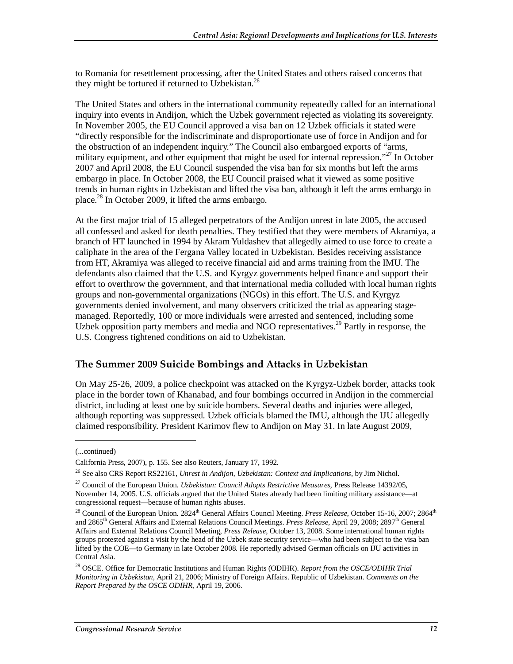to Romania for resettlement processing, after the United States and others raised concerns that they might be tortured if returned to Uzbekistan.<sup>26</sup>

The United States and others in the international community repeatedly called for an international inquiry into events in Andijon, which the Uzbek government rejected as violating its sovereignty. In November 2005, the EU Council approved a visa ban on 12 Uzbek officials it stated were "directly responsible for the indiscriminate and disproportionate use of force in Andijon and for the obstruction of an independent inquiry." The Council also embargoed exports of "arms, military equipment, and other equipment that might be used for internal repression."<sup>27</sup> In October 2007 and April 2008, the EU Council suspended the visa ban for six months but left the arms embargo in place. In October 2008, the EU Council praised what it viewed as some positive trends in human rights in Uzbekistan and lifted the visa ban, although it left the arms embargo in place. $^{28}$  In October 2009, it lifted the arms embargo.

At the first major trial of 15 alleged perpetrators of the Andijon unrest in late 2005, the accused all confessed and asked for death penalties. They testified that they were members of Akramiya, a branch of HT launched in 1994 by Akram Yuldashev that allegedly aimed to use force to create a caliphate in the area of the Fergana Valley located in Uzbekistan. Besides receiving assistance from HT, Akramiya was alleged to receive financial aid and arms training from the IMU. The defendants also claimed that the U.S. and Kyrgyz governments helped finance and support their effort to overthrow the government, and that international media colluded with local human rights groups and non-governmental organizations (NGOs) in this effort. The U.S. and Kyrgyz governments denied involvement, and many observers criticized the trial as appearing stagemanaged. Reportedly, 100 or more individuals were arrested and sentenced, including some Uzbek opposition party members and media and NGO representatives.<sup>29</sup> Partly in response, the U.S. Congress tightened conditions on aid to Uzbekistan.

#### **The Summer 2009 Suicide Bombings and Attacks in Uzbekistan**

On May 25-26, 2009, a police checkpoint was attacked on the Kyrgyz-Uzbek border, attacks took place in the border town of Khanabad, and four bombings occurred in Andijon in the commercial district, including at least one by suicide bombers. Several deaths and injuries were alleged, although reporting was suppressed. Uzbek officials blamed the IMU, although the IJU allegedly claimed responsibility. President Karimov flew to Andijon on May 31. In late August 2009,

<sup>(...</sup>continued)

California Press, 2007), p. 155. See also Reuters, January 17, 1992.

<sup>26</sup> See also CRS Report RS22161, *Unrest in Andijon, Uzbekistan: Context and Implications*, by Jim Nichol.

<sup>27</sup> Council of the European Union. *Uzbekistan: Council Adopts Restrictive Measures*, Press Release 14392/05, November 14, 2005. U.S. officials argued that the United States already had been limiting military assistance—at congressional request—because of human rights abuses.

<sup>&</sup>lt;sup>28</sup> Council of the European Union. 2824<sup>th</sup> General Affairs Council Meeting. *Press Release*, October 15-16, 2007; 2864<sup>th</sup> and 2865<sup>th</sup> General Affairs and External Relations Council Meetings. *Press Release*, April 29, 2008; 2897<sup>th</sup> General Affairs and External Relations Council Meeting, *Press Release*, October 13, 2008. Some international human rights groups protested against a visit by the head of the Uzbek state security service—who had been subject to the visa ban lifted by the COE—to Germany in late October 2008. He reportedly advised German officials on IJU activities in Central Asia.

<sup>29</sup> OSCE. Office for Democratic Institutions and Human Rights (ODIHR). *Report from the OSCE/ODIHR Trial Monitoring in Uzbekistan*, April 21, 2006; Ministry of Foreign Affairs. Republic of Uzbekistan. *Comments on the Report Prepared by the OSCE ODIHR*, April 19, 2006.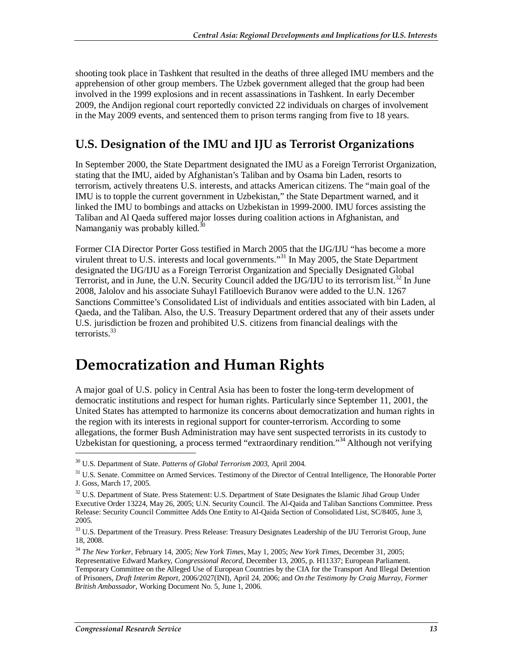shooting took place in Tashkent that resulted in the deaths of three alleged IMU members and the apprehension of other group members. The Uzbek government alleged that the group had been involved in the 1999 explosions and in recent assassinations in Tashkent. In early December 2009, the Andijon regional court reportedly convicted 22 individuals on charges of involvement in the May 2009 events, and sentenced them to prison terms ranging from five to 18 years.

## **U.S. Designation of the IMU and IJU as Terrorist Organizations**

In September 2000, the State Department designated the IMU as a Foreign Terrorist Organization, stating that the IMU, aided by Afghanistan's Taliban and by Osama bin Laden, resorts to terrorism, actively threatens U.S. interests, and attacks American citizens. The "main goal of the IMU is to topple the current government in Uzbekistan," the State Department warned, and it linked the IMU to bombings and attacks on Uzbekistan in 1999-2000. IMU forces assisting the Taliban and Al Qaeda suffered major losses during coalition actions in Afghanistan, and Namanganiy was probably killed.<sup>30</sup>

Former CIA Director Porter Goss testified in March 2005 that the IJG/IJU "has become a more virulent threat to U.S. interests and local governments.<sup>331</sup> In May 2005, the State Department designated the IJG/IJU as a Foreign Terrorist Organization and Specially Designated Global Terrorist, and in June, the U.N. Security Council added the IJG/IJU to its terrorism list.<sup>32</sup> In June 2008, Jalolov and his associate Suhayl Fatilloevich Buranov were added to the U.N. 1267 Sanctions Committee's Consolidated List of individuals and entities associated with bin Laden, al Qaeda, and the Taliban. Also, the U.S. Treasury Department ordered that any of their assets under U.S. jurisdiction be frozen and prohibited U.S. citizens from financial dealings with the terrorists.33

# **Democratization and Human Rights**

A major goal of U.S. policy in Central Asia has been to foster the long-term development of democratic institutions and respect for human rights. Particularly since September 11, 2001, the United States has attempted to harmonize its concerns about democratization and human rights in the region with its interests in regional support for counter-terrorism. According to some allegations, the former Bush Administration may have sent suspected terrorists in its custody to Uzbekistan for questioning, a process termed "extraordinary rendition."<sup>34</sup> Although not verifying

<sup>30</sup> U.S. Department of State. *Patterns of Global Terrorism 2003*, April 2004.

<sup>&</sup>lt;sup>31</sup> U.S. Senate. Committee on Armed Services. Testimony of the Director of Central Intelligence, The Honorable Porter J. Goss, March 17, 2005.

<sup>&</sup>lt;sup>32</sup> U.S. Department of State. Press Statement: U.S. Department of State Designates the Islamic Jihad Group Under Executive Order 13224, May 26, 2005; U.N. Security Council. The Al-Qaida and Taliban Sanctions Committee. Press Release: Security Council Committee Adds One Entity to Al-Qaida Section of Consolidated List, SC/8405, June 3, 2005.

<sup>&</sup>lt;sup>33</sup> U.S. Department of the Treasury. Press Release: Treasury Designates Leadership of the IJU Terrorist Group, June 18, 2008.

<sup>34</sup> *The New Yorker*, February 14, 2005; *New York Times*, May 1, 2005; *New York Times*, December 31, 2005; Representative Edward Markey, *Congressional Record*, December 13, 2005, p. H11337; European Parliament. Temporary Committee on the Alleged Use of European Countries by the CIA for the Transport And Illegal Detention of Prisoners, *Draft Interim Report*, 2006/2027(INI), April 24, 2006; and *On the Testimony by Craig Murray, Former British Ambassador*, Working Document No. 5, June 1, 2006.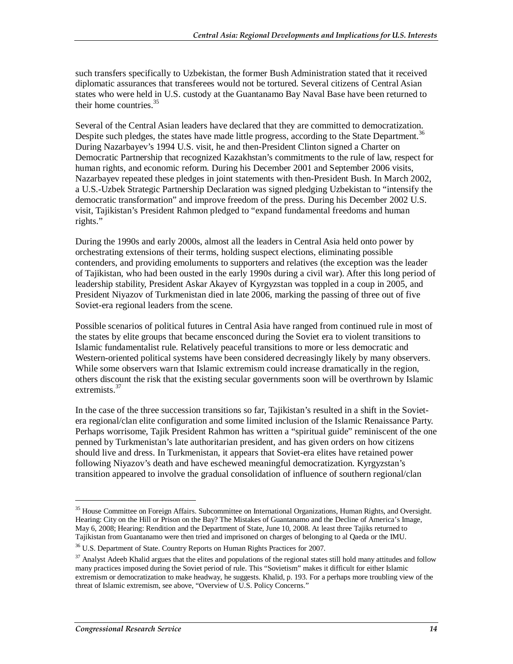such transfers specifically to Uzbekistan, the former Bush Administration stated that it received diplomatic assurances that transferees would not be tortured. Several citizens of Central Asian states who were held in U.S. custody at the Guantanamo Bay Naval Base have been returned to their home countries.<sup>35</sup>

Several of the Central Asian leaders have declared that they are committed to democratization. Despite such pledges, the states have made little progress, according to the State Department.<sup>36</sup> During Nazarbayev's 1994 U.S. visit, he and then-President Clinton signed a Charter on Democratic Partnership that recognized Kazakhstan's commitments to the rule of law, respect for human rights, and economic reform. During his December 2001 and September 2006 visits, Nazarbayev repeated these pledges in joint statements with then-President Bush. In March 2002, a U.S.-Uzbek Strategic Partnership Declaration was signed pledging Uzbekistan to "intensify the democratic transformation" and improve freedom of the press. During his December 2002 U.S. visit, Tajikistan's President Rahmon pledged to "expand fundamental freedoms and human rights."

During the 1990s and early 2000s, almost all the leaders in Central Asia held onto power by orchestrating extensions of their terms, holding suspect elections, eliminating possible contenders, and providing emoluments to supporters and relatives (the exception was the leader of Tajikistan, who had been ousted in the early 1990s during a civil war). After this long period of leadership stability, President Askar Akayev of Kyrgyzstan was toppled in a coup in 2005, and President Niyazov of Turkmenistan died in late 2006, marking the passing of three out of five Soviet-era regional leaders from the scene.

Possible scenarios of political futures in Central Asia have ranged from continued rule in most of the states by elite groups that became ensconced during the Soviet era to violent transitions to Islamic fundamentalist rule. Relatively peaceful transitions to more or less democratic and Western-oriented political systems have been considered decreasingly likely by many observers. While some observers warn that Islamic extremism could increase dramatically in the region, others discount the risk that the existing secular governments soon will be overthrown by Islamic extremists.<sup>37</sup>

In the case of the three succession transitions so far, Tajikistan's resulted in a shift in the Sovietera regional/clan elite configuration and some limited inclusion of the Islamic Renaissance Party. Perhaps worrisome, Tajik President Rahmon has written a "spiritual guide" reminiscent of the one penned by Turkmenistan's late authoritarian president, and has given orders on how citizens should live and dress. In Turkmenistan, it appears that Soviet-era elites have retained power following Niyazov's death and have eschewed meaningful democratization. Kyrgyzstan's transition appeared to involve the gradual consolidation of influence of southern regional/clan

<sup>&</sup>lt;sup>35</sup> House Committee on Foreign Affairs. Subcommittee on International Organizations, Human Rights, and Oversight. Hearing: City on the Hill or Prison on the Bay? The Mistakes of Guantanamo and the Decline of America's Image, May 6, 2008; Hearing: Rendition and the Department of State, June 10, 2008. At least three Tajiks returned to Tajikistan from Guantanamo were then tried and imprisoned on charges of belonging to al Qaeda or the IMU.

<sup>36</sup> U.S. Department of State. Country Reports on Human Rights Practices for 2007.

<sup>&</sup>lt;sup>37</sup> Analyst Adeeb Khalid argues that the elites and populations of the regional states still hold many attitudes and follow many practices imposed during the Soviet period of rule. This "Sovietism" makes it difficult for either Islamic extremism or democratization to make headway, he suggests. Khalid, p. 193. For a perhaps more troubling view of the threat of Islamic extremism, see above, "Overview of U.S. Policy Concerns*.*"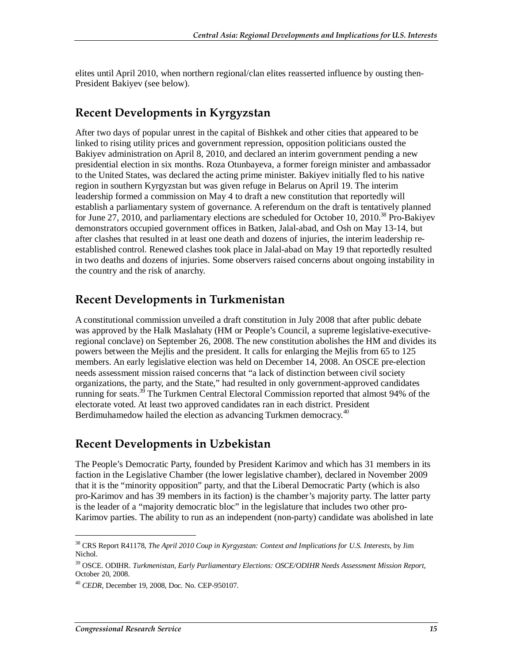elites until April 2010, when northern regional/clan elites reasserted influence by ousting then-President Bakiyev (see below).

#### **Recent Developments in Kyrgyzstan**

After two days of popular unrest in the capital of Bishkek and other cities that appeared to be linked to rising utility prices and government repression, opposition politicians ousted the Bakiyev administration on April 8, 2010, and declared an interim government pending a new presidential election in six months. Roza Otunbayeva, a former foreign minister and ambassador to the United States, was declared the acting prime minister. Bakiyev initially fled to his native region in southern Kyrgyzstan but was given refuge in Belarus on April 19. The interim leadership formed a commission on May 4 to draft a new constitution that reportedly will establish a parliamentary system of governance. A referendum on the draft is tentatively planned for June 27, 2010, and parliamentary elections are scheduled for October 10, 2010.<sup>38</sup> Pro-Bakiyev demonstrators occupied government offices in Batken, Jalal-abad, and Osh on May 13-14, but after clashes that resulted in at least one death and dozens of injuries, the interim leadership reestablished control. Renewed clashes took place in Jalal-abad on May 19 that reportedly resulted in two deaths and dozens of injuries. Some observers raised concerns about ongoing instability in the country and the risk of anarchy.

#### **Recent Developments in Turkmenistan**

A constitutional commission unveiled a draft constitution in July 2008 that after public debate was approved by the Halk Maslahaty (HM or People's Council, a supreme legislative-executiveregional conclave) on September 26, 2008. The new constitution abolishes the HM and divides its powers between the Mejlis and the president. It calls for enlarging the Mejlis from 65 to 125 members. An early legislative election was held on December 14, 2008. An OSCE pre-election needs assessment mission raised concerns that "a lack of distinction between civil society organizations, the party, and the State," had resulted in only government-approved candidates running for seats.<sup>39</sup> The Turkmen Central Electoral Commission reported that almost 94% of the electorate voted. At least two approved candidates ran in each district. President Berdimuhamedow hailed the election as advancing Turkmen democracy.<sup>40</sup>

#### **Recent Developments in Uzbekistan**

The People's Democratic Party, founded by President Karimov and which has 31 members in its faction in the Legislative Chamber (the lower legislative chamber), declared in November 2009 that it is the "minority opposition" party, and that the Liberal Democratic Party (which is also pro-Karimov and has 39 members in its faction) is the chamber's majority party. The latter party is the leader of a "majority democratic bloc" in the legislature that includes two other pro-Karimov parties. The ability to run as an independent (non-party) candidate was abolished in late

<sup>38</sup> CRS Report R41178, *The April 2010 Coup in Kyrgyzstan: Context and Implications for U.S. Interests*, by Jim Nichol.

<sup>39</sup> OSCE. ODIHR. *Turkmenistan, Early Parliamentary Elections: OSCE/ODIHR Needs Assessment Mission Report*, October 20, 2008.

<sup>40</sup> *CEDR*, December 19, 2008, Doc. No. CEP-950107.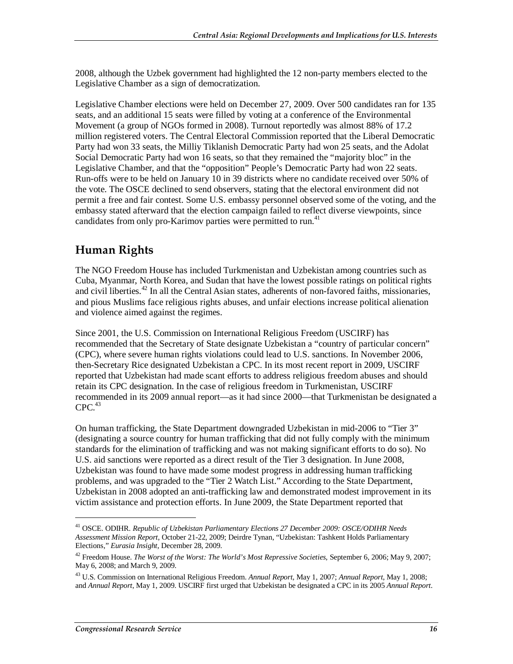2008, although the Uzbek government had highlighted the 12 non-party members elected to the Legislative Chamber as a sign of democratization.

Legislative Chamber elections were held on December 27, 2009. Over 500 candidates ran for 135 seats, and an additional 15 seats were filled by voting at a conference of the Environmental Movement (a group of NGOs formed in 2008). Turnout reportedly was almost 88% of 17.2 million registered voters. The Central Electoral Commission reported that the Liberal Democratic Party had won 33 seats, the Milliy Tiklanish Democratic Party had won 25 seats, and the Adolat Social Democratic Party had won 16 seats, so that they remained the "majority bloc" in the Legislative Chamber, and that the "opposition" People's Democratic Party had won 22 seats. Run-offs were to be held on January 10 in 39 districts where no candidate received over 50% of the vote. The OSCE declined to send observers, stating that the electoral environment did not permit a free and fair contest. Some U.S. embassy personnel observed some of the voting, and the embassy stated afterward that the election campaign failed to reflect diverse viewpoints, since candidates from only pro-Karimov parties were permitted to run.<sup>41</sup>

## **Human Rights**

The NGO Freedom House has included Turkmenistan and Uzbekistan among countries such as Cuba, Myanmar, North Korea, and Sudan that have the lowest possible ratings on political rights and civil liberties.<sup>42</sup> In all the Central Asian states, adherents of non-favored faiths, missionaries, and pious Muslims face religious rights abuses, and unfair elections increase political alienation and violence aimed against the regimes.

Since 2001, the U.S. Commission on International Religious Freedom (USCIRF) has recommended that the Secretary of State designate Uzbekistan a "country of particular concern" (CPC), where severe human rights violations could lead to U.S. sanctions. In November 2006, then-Secretary Rice designated Uzbekistan a CPC. In its most recent report in 2009, USCIRF reported that Uzbekistan had made scant efforts to address religious freedom abuses and should retain its CPC designation. In the case of religious freedom in Turkmenistan, USCIRF recommended in its 2009 annual report—as it had since 2000—that Turkmenistan be designated a  $CPC.<sup>43</sup>$ 

On human trafficking, the State Department downgraded Uzbekistan in mid-2006 to "Tier 3" (designating a source country for human trafficking that did not fully comply with the minimum standards for the elimination of trafficking and was not making significant efforts to do so). No U.S. aid sanctions were reported as a direct result of the Tier 3 designation. In June 2008, Uzbekistan was found to have made some modest progress in addressing human trafficking problems, and was upgraded to the "Tier 2 Watch List." According to the State Department, Uzbekistan in 2008 adopted an anti-trafficking law and demonstrated modest improvement in its victim assistance and protection efforts. In June 2009, the State Department reported that

<sup>41</sup> OSCE. ODIHR. *Republic of Uzbekistan Parliamentary Elections 27 December 2009: OSCE/ODIHR Needs Assessment Mission Report*, October 21-22, 2009; Deirdre Tynan, "Uzbekistan: Tashkent Holds Parliamentary Elections," *Eurasia Insight*, December 28, 2009.

<sup>42</sup> Freedom House. *The Worst of the Worst: The World's Most Repressive Societies*, September 6, 2006; May 9, 2007; May 6, 2008; and March 9, 2009.

<sup>43</sup> U.S. Commission on International Religious Freedom. *Annual Report*, May 1, 2007; *Annual Report*, May 1, 2008; and *Annual Report*, May 1, 2009. USCIRF first urged that Uzbekistan be designated a CPC in its 2005 *Annual Report*.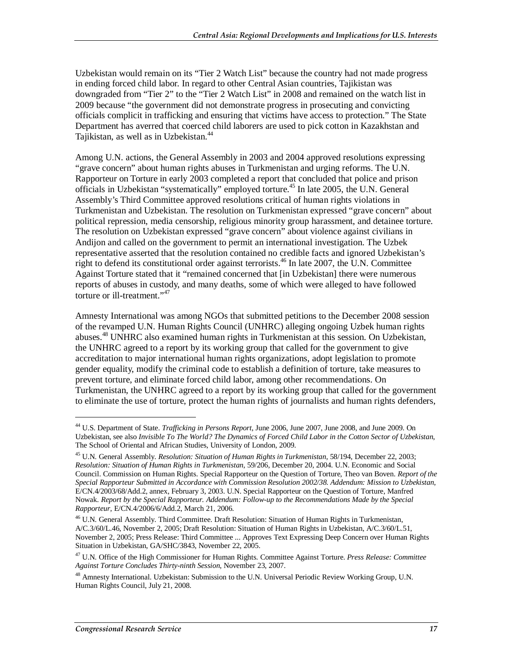Uzbekistan would remain on its "Tier 2 Watch List" because the country had not made progress in ending forced child labor. In regard to other Central Asian countries, Tajikistan was downgraded from "Tier 2" to the "Tier 2 Watch List" in 2008 and remained on the watch list in 2009 because "the government did not demonstrate progress in prosecuting and convicting officials complicit in trafficking and ensuring that victims have access to protection." The State Department has averred that coerced child laborers are used to pick cotton in Kazakhstan and Tajikistan, as well as in Uzbekistan.<sup>44</sup>

Among U.N. actions, the General Assembly in 2003 and 2004 approved resolutions expressing "grave concern" about human rights abuses in Turkmenistan and urging reforms. The U.N. Rapporteur on Torture in early 2003 completed a report that concluded that police and prison officials in Uzbekistan "systematically" employed torture.<sup>45</sup> In late 2005, the U.N. General Assembly's Third Committee approved resolutions critical of human rights violations in Turkmenistan and Uzbekistan. The resolution on Turkmenistan expressed "grave concern" about political repression, media censorship, religious minority group harassment, and detainee torture. The resolution on Uzbekistan expressed "grave concern" about violence against civilians in Andijon and called on the government to permit an international investigation. The Uzbek representative asserted that the resolution contained no credible facts and ignored Uzbekistan's right to defend its constitutional order against terrorists.<sup>46</sup> In late 2007, the U.N. Committee Against Torture stated that it "remained concerned that [in Uzbekistan] there were numerous reports of abuses in custody, and many deaths, some of which were alleged to have followed torture or ill-treatment."<sup>47</sup>

Amnesty International was among NGOs that submitted petitions to the December 2008 session of the revamped U.N. Human Rights Council (UNHRC) alleging ongoing Uzbek human rights abuses.<sup>48</sup> UNHRC also examined human rights in Turkmenistan at this session. On Uzbekistan, the UNHRC agreed to a report by its working group that called for the government to give accreditation to major international human rights organizations, adopt legislation to promote gender equality, modify the criminal code to establish a definition of torture, take measures to prevent torture, and eliminate forced child labor, among other recommendations. On Turkmenistan, the UNHRC agreed to a report by its working group that called for the government to eliminate the use of torture, protect the human rights of journalists and human rights defenders,

<sup>44</sup> U.S. Department of State. *Trafficking in Persons Report*, June 2006, June 2007, June 2008, and June 2009. On Uzbekistan, see also *Invisible To The World? The Dynamics of Forced Child Labor in the Cotton Sector of Uzbekistan*, The School of Oriental and African Studies, University of London, 2009.

<sup>45</sup> U.N. General Assembly. *Resolution: Situation of Human Rights in Turkmenistan*, 58/194, December 22, 2003; *Resolution: Situation of Human Rights in Turkmenistan*, 59/206, December 20, 2004. U.N. Economic and Social Council. Commission on Human Rights. Special Rapporteur on the Question of Torture, Theo van Boven. *Report of the Special Rapporteur Submitted in Accordance with Commission Resolution 2002/38. Addendum: Mission to Uzbekistan*, E/CN.4/2003/68/Add.2, annex, February 3, 2003. U.N. Special Rapporteur on the Question of Torture, Manfred Nowak. *Report by the Special Rapporteur. Addendum: Follow-up to the Recommendations Made by the Special Rapporteur,* E/CN.4/2006/6/Add.2, March 21, 2006.

<sup>46</sup> U.N. General Assembly. Third Committee. Draft Resolution: Situation of Human Rights in Turkmenistan, A/C.3/60/L.46, November 2, 2005; Draft Resolution: Situation of Human Rights in Uzbekistan, A/C.3/60/L.51, November 2, 2005; Press Release: Third Committee ... Approves Text Expressing Deep Concern over Human Rights Situation in Uzbekistan, GA/SHC/3843, November 22, 2005.

<sup>47</sup> U.N. Office of the High Commissioner for Human Rights. Committee Against Torture. *Press Release: Committee Against Torture Concludes Thirty-ninth Session*, November 23, 2007.

<sup>48</sup> Amnesty International. Uzbekistan: Submission to the U.N. Universal Periodic Review Working Group, U.N. Human Rights Council, July 21, 2008.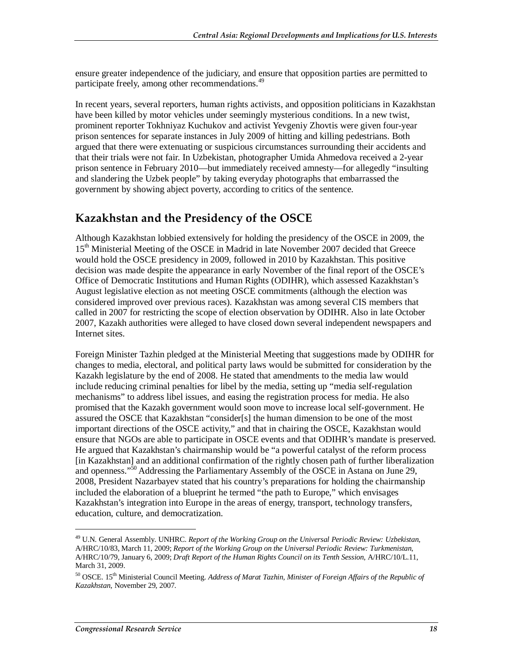ensure greater independence of the judiciary, and ensure that opposition parties are permitted to participate freely, among other recommendations.<sup>49</sup>

In recent years, several reporters, human rights activists, and opposition politicians in Kazakhstan have been killed by motor vehicles under seemingly mysterious conditions. In a new twist, prominent reporter Tokhniyaz Kuchukov and activist Yevgeniy Zhovtis were given four-year prison sentences for separate instances in July 2009 of hitting and killing pedestrians. Both argued that there were extenuating or suspicious circumstances surrounding their accidents and that their trials were not fair. In Uzbekistan, photographer Umida Ahmedova received a 2-year prison sentence in February 2010—but immediately received amnesty—for allegedly "insulting and slandering the Uzbek people" by taking everyday photographs that embarrassed the government by showing abject poverty, according to critics of the sentence.

#### **Kazakhstan and the Presidency of the OSCE**

Although Kazakhstan lobbied extensively for holding the presidency of the OSCE in 2009, the 15<sup>th</sup> Ministerial Meeting of the OSCE in Madrid in late November 2007 decided that Greece would hold the OSCE presidency in 2009, followed in 2010 by Kazakhstan. This positive decision was made despite the appearance in early November of the final report of the OSCE's Office of Democratic Institutions and Human Rights (ODIHR), which assessed Kazakhstan's August legislative election as not meeting OSCE commitments (although the election was considered improved over previous races). Kazakhstan was among several CIS members that called in 2007 for restricting the scope of election observation by ODIHR. Also in late October 2007, Kazakh authorities were alleged to have closed down several independent newspapers and Internet sites.

Foreign Minister Tazhin pledged at the Ministerial Meeting that suggestions made by ODIHR for changes to media, electoral, and political party laws would be submitted for consideration by the Kazakh legislature by the end of 2008. He stated that amendments to the media law would include reducing criminal penalties for libel by the media, setting up "media self-regulation mechanisms" to address libel issues, and easing the registration process for media. He also promised that the Kazakh government would soon move to increase local self-government. He assured the OSCE that Kazakhstan "consider[s] the human dimension to be one of the most important directions of the OSCE activity," and that in chairing the OSCE, Kazakhstan would ensure that NGOs are able to participate in OSCE events and that ODIHR's mandate is preserved. He argued that Kazakhstan's chairmanship would be "a powerful catalyst of the reform process [in Kazakhstan] and an additional confirmation of the rightly chosen path of further liberalization and openness."50 Addressing the Parliamentary Assembly of the OSCE in Astana on June 29, 2008, President Nazarbayev stated that his country's preparations for holding the chairmanship included the elaboration of a blueprint he termed "the path to Europe," which envisages Kazakhstan's integration into Europe in the areas of energy, transport, technology transfers, education, culture, and democratization.

<sup>49</sup> U.N. General Assembly. UNHRC. *Report of the Working Group on the Universal Periodic Review: Uzbekistan*, A/HRC/10/83, March 11, 2009; *Report of the Working Group on the Universal Periodic Review: Turkmenistan*, A/HRC/10/79, January 6, 2009; *Draft Report of the Human Rights Council on its Tenth Session*, A/HRC/10/L.11, March 31, 2009.

<sup>50</sup> OSCE. 15th Ministerial Council Meeting. *Address of Marat Tazhin, Minister of Foreign Affairs of the Republic of Kazakhstan*, November 29, 2007.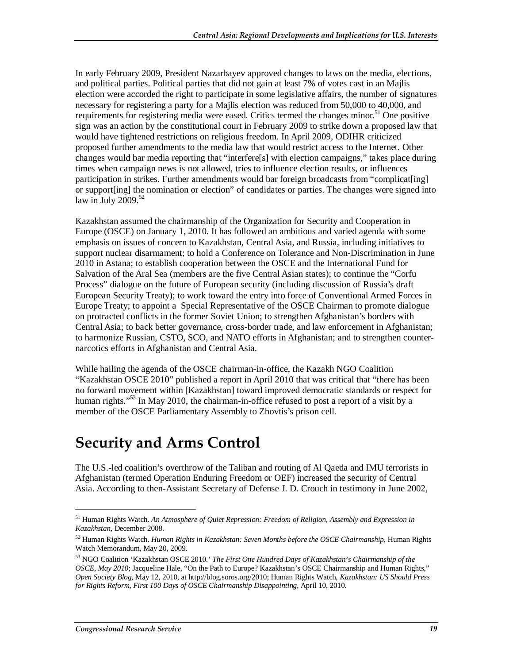In early February 2009, President Nazarbayev approved changes to laws on the media, elections, and political parties. Political parties that did not gain at least 7% of votes cast in an Majlis election were accorded the right to participate in some legislative affairs, the number of signatures necessary for registering a party for a Majlis election was reduced from 50,000 to 40,000, and requirements for registering media were eased. Critics termed the changes minor.<sup>51</sup> One positive sign was an action by the constitutional court in February 2009 to strike down a proposed law that would have tightened restrictions on religious freedom. In April 2009, ODIHR criticized proposed further amendments to the media law that would restrict access to the Internet. Other changes would bar media reporting that "interfere[s] with election campaigns," takes place during times when campaign news is not allowed, tries to influence election results, or influences participation in strikes. Further amendments would bar foreign broadcasts from "complicat[ing] or support[ing] the nomination or election" of candidates or parties. The changes were signed into law in July 2009. $52$ 

Kazakhstan assumed the chairmanship of the Organization for Security and Cooperation in Europe (OSCE) on January 1, 2010. It has followed an ambitious and varied agenda with some emphasis on issues of concern to Kazakhstan, Central Asia, and Russia, including initiatives to support nuclear disarmament; to hold a Conference on Tolerance and Non-Discrimination in June 2010 in Astana; to establish cooperation between the OSCE and the International Fund for Salvation of the Aral Sea (members are the five Central Asian states); to continue the "Corfu Process" dialogue on the future of European security (including discussion of Russia's draft European Security Treaty); to work toward the entry into force of Conventional Armed Forces in Europe Treaty; to appoint a Special Representative of the OSCE Chairman to promote dialogue on protracted conflicts in the former Soviet Union; to strengthen Afghanistan's borders with Central Asia; to back better governance, cross-border trade, and law enforcement in Afghanistan; to harmonize Russian, CSTO, SCO, and NATO efforts in Afghanistan; and to strengthen counternarcotics efforts in Afghanistan and Central Asia.

While hailing the agenda of the OSCE chairman-in-office, the Kazakh NGO Coalition "Kazakhstan OSCE 2010" published a report in April 2010 that was critical that "there has been no forward movement within [Kazakhstan] toward improved democratic standards or respect for human rights."<sup>53</sup> In May 2010, the chairman-in-office refused to post a report of a visit by a member of the OSCE Parliamentary Assembly to Zhovtis's prison cell.

# **Security and Arms Control**

The U.S.-led coalition's overthrow of the Taliban and routing of Al Qaeda and IMU terrorists in Afghanistan (termed Operation Enduring Freedom or OEF) increased the security of Central Asia. According to then-Assistant Secretary of Defense J. D. Crouch in testimony in June 2002,

<sup>51</sup> Human Rights Watch. *An Atmosphere of Quiet Repression: Freedom of Religion, Assembly and Expression in Kazakhstan*, December 2008.

<sup>52</sup> Human Rights Watch. *Human Rights in Kazakhstan: Seven Months before the OSCE Chairmanship*, Human Rights Watch Memorandum, May 20, 2009.

<sup>53</sup> NGO Coalition 'Kazakhstan OSCE 2010.' *The First One Hundred Days of Kazakhstan's Chairmanship of the OSCE, May 2010*; Jacqueline Hale, "On the Path to Europe? Kazakhstan's OSCE Chairmanship and Human Rights," *Open Society Blog*, May 12, 2010, at http://blog.soros.org/2010; Human Rights Watch, *Kazakhstan: US Should Press for Rights Reform, First 100 Days of OSCE Chairmanship Disappointing*, April 10, 2010.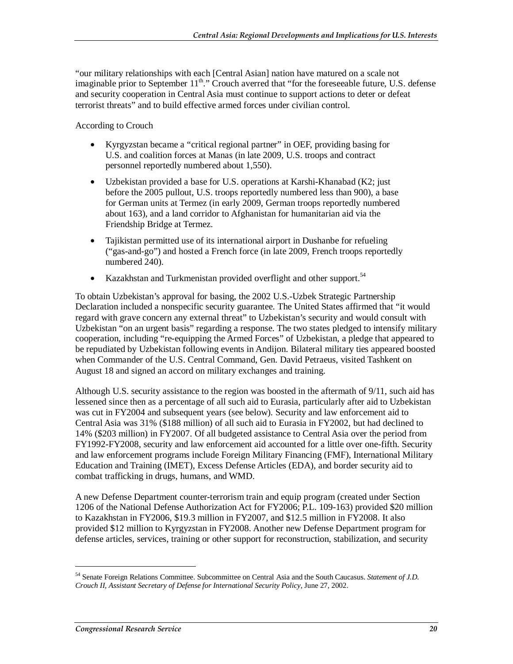"our military relationships with each [Central Asian] nation have matured on a scale not imaginable prior to September 11<sup>th</sup>." Crouch averred that "for the foreseeable future, U.S. defense and security cooperation in Central Asia must continue to support actions to deter or defeat terrorist threats" and to build effective armed forces under civilian control.

According to Crouch

- Kyrgyzstan became a "critical regional partner" in OEF, providing basing for U.S. and coalition forces at Manas (in late 2009, U.S. troops and contract personnel reportedly numbered about 1,550).
- Uzbekistan provided a base for U.S. operations at Karshi-Khanabad (K2; just before the 2005 pullout, U.S. troops reportedly numbered less than 900), a base for German units at Termez (in early 2009, German troops reportedly numbered about 163), and a land corridor to Afghanistan for humanitarian aid via the Friendship Bridge at Termez.
- Tajikistan permitted use of its international airport in Dushanbe for refueling ("gas-and-go") and hosted a French force (in late 2009, French troops reportedly numbered 240).
- Kazakhstan and Turkmenistan provided overflight and other support.  $54$

To obtain Uzbekistan's approval for basing, the 2002 U.S.-Uzbek Strategic Partnership Declaration included a nonspecific security guarantee. The United States affirmed that "it would regard with grave concern any external threat" to Uzbekistan's security and would consult with Uzbekistan "on an urgent basis" regarding a response. The two states pledged to intensify military cooperation, including "re-equipping the Armed Forces" of Uzbekistan, a pledge that appeared to be repudiated by Uzbekistan following events in Andijon. Bilateral military ties appeared boosted when Commander of the U.S. Central Command, Gen. David Petraeus, visited Tashkent on August 18 and signed an accord on military exchanges and training.

Although U.S. security assistance to the region was boosted in the aftermath of 9/11, such aid has lessened since then as a percentage of all such aid to Eurasia, particularly after aid to Uzbekistan was cut in FY2004 and subsequent years (see below). Security and law enforcement aid to Central Asia was 31% (\$188 million) of all such aid to Eurasia in FY2002, but had declined to 14% (\$203 million) in FY2007. Of all budgeted assistance to Central Asia over the period from FY1992-FY2008, security and law enforcement aid accounted for a little over one-fifth. Security and law enforcement programs include Foreign Military Financing (FMF), International Military Education and Training (IMET), Excess Defense Articles (EDA), and border security aid to combat trafficking in drugs, humans, and WMD.

A new Defense Department counter-terrorism train and equip program (created under Section 1206 of the National Defense Authorization Act for FY2006; P.L. 109-163) provided \$20 million to Kazakhstan in FY2006, \$19.3 million in FY2007, and \$12.5 million in FY2008. It also provided \$12 million to Kyrgyzstan in FY2008. Another new Defense Department program for defense articles, services, training or other support for reconstruction, stabilization, and security

<sup>54</sup> Senate Foreign Relations Committee. Subcommittee on Central Asia and the South Caucasus. *Statement of J.D. Crouch II, Assistant Secretary of Defense for International Security Policy*, June 27, 2002.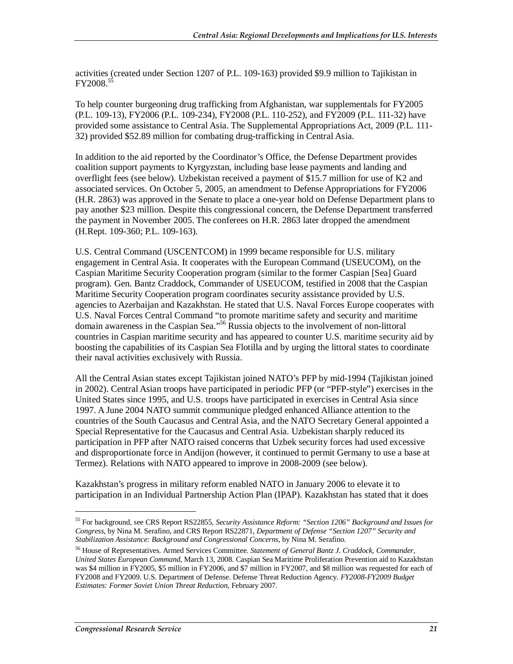activities (created under Section 1207 of P.L. 109-163) provided \$9.9 million to Tajikistan in FY2008.55

To help counter burgeoning drug trafficking from Afghanistan, war supplementals for FY2005 (P.L. 109-13), FY2006 (P.L. 109-234), FY2008 (P.L. 110-252), and FY2009 (P.L. 111-32) have provided some assistance to Central Asia. The Supplemental Appropriations Act, 2009 (P.L. 111- 32) provided \$52.89 million for combating drug-trafficking in Central Asia.

In addition to the aid reported by the Coordinator's Office, the Defense Department provides coalition support payments to Kyrgyzstan, including base lease payments and landing and overflight fees (see below). Uzbekistan received a payment of \$15.7 million for use of K2 and associated services. On October 5, 2005, an amendment to Defense Appropriations for FY2006 (H.R. 2863) was approved in the Senate to place a one-year hold on Defense Department plans to pay another \$23 million. Despite this congressional concern, the Defense Department transferred the payment in November 2005. The conferees on H.R. 2863 later dropped the amendment (H.Rept. 109-360; P.L. 109-163).

U.S. Central Command (USCENTCOM) in 1999 became responsible for U.S. military engagement in Central Asia. It cooperates with the European Command (USEUCOM), on the Caspian Maritime Security Cooperation program (similar to the former Caspian [Sea] Guard program). Gen. Bantz Craddock, Commander of USEUCOM, testified in 2008 that the Caspian Maritime Security Cooperation program coordinates security assistance provided by U.S. agencies to Azerbaijan and Kazakhstan. He stated that U.S. Naval Forces Europe cooperates with U.S. Naval Forces Central Command "to promote maritime safety and security and maritime domain awareness in the Caspian Sea."56 Russia objects to the involvement of non-littoral countries in Caspian maritime security and has appeared to counter U.S. maritime security aid by boosting the capabilities of its Caspian Sea Flotilla and by urging the littoral states to coordinate their naval activities exclusively with Russia.

All the Central Asian states except Tajikistan joined NATO's PFP by mid-1994 (Tajikistan joined in 2002). Central Asian troops have participated in periodic PFP (or "PFP-style") exercises in the United States since 1995, and U.S. troops have participated in exercises in Central Asia since 1997. A June 2004 NATO summit communique pledged enhanced Alliance attention to the countries of the South Caucasus and Central Asia, and the NATO Secretary General appointed a Special Representative for the Caucasus and Central Asia. Uzbekistan sharply reduced its participation in PFP after NATO raised concerns that Uzbek security forces had used excessive and disproportionate force in Andijon (however, it continued to permit Germany to use a base at Termez). Relations with NATO appeared to improve in 2008-2009 (see below).

Kazakhstan's progress in military reform enabled NATO in January 2006 to elevate it to participation in an Individual Partnership Action Plan (IPAP). Kazakhstan has stated that it does

<sup>55</sup> For background, see CRS Report RS22855, *Security Assistance Reform: "Section 1206" Background and Issues for Congress*, by Nina M. Serafino, and CRS Report RS22871, *Department of Defense "Section 1207" Security and Stabilization Assistance: Background and Congressional Concerns*, by Nina M. Serafino.

<sup>56</sup> House of Representatives. Armed Services Committee. *Statement of General Bantz J. Craddock, Commander, United States European Command*, March 13, 2008. Caspian Sea Maritime Proliferation Prevention aid to Kazakhstan was \$4 million in FY2005, \$5 million in FY2006, and \$7 million in FY2007, and \$8 million was requested for each of FY2008 and FY2009. U.S. Department of Defense. Defense Threat Reduction Agency. *FY2008-FY2009 Budget Estimates: Former Soviet Union Threat Reduction*, February 2007.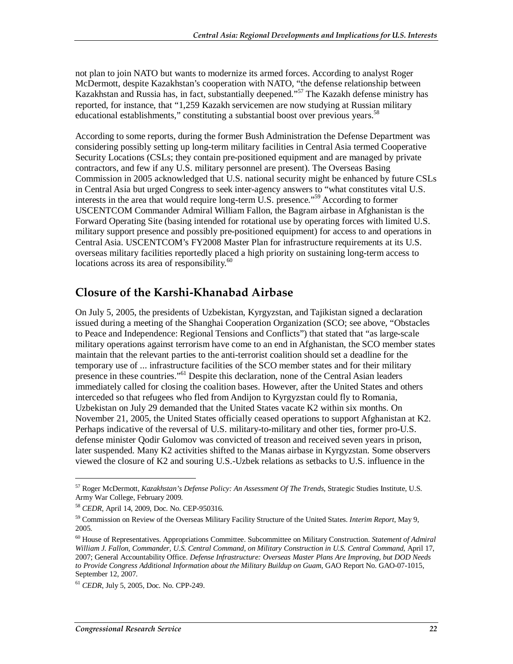not plan to join NATO but wants to modernize its armed forces. According to analyst Roger McDermott, despite Kazakhstan's cooperation with NATO, "the defense relationship between Kazakhstan and Russia has, in fact, substantially deepened."57 The Kazakh defense ministry has reported, for instance, that "1,259 Kazakh servicemen are now studying at Russian military educational establishments," constituting a substantial boost over previous years.<sup>58</sup>

According to some reports, during the former Bush Administration the Defense Department was considering possibly setting up long-term military facilities in Central Asia termed Cooperative Security Locations (CSLs; they contain pre-positioned equipment and are managed by private contractors, and few if any U.S. military personnel are present). The Overseas Basing Commission in 2005 acknowledged that U.S. national security might be enhanced by future CSLs in Central Asia but urged Congress to seek inter-agency answers to "what constitutes vital U.S. interests in the area that would require long-term U.S. presence."59 According to former USCENTCOM Commander Admiral William Fallon, the Bagram airbase in Afghanistan is the Forward Operating Site (basing intended for rotational use by operating forces with limited U.S. military support presence and possibly pre-positioned equipment) for access to and operations in Central Asia. USCENTCOM's FY2008 Master Plan for infrastructure requirements at its U.S. overseas military facilities reportedly placed a high priority on sustaining long-term access to locations across its area of responsibility.<sup>60</sup>

#### **Closure of the Karshi-Khanabad Airbase**

On July 5, 2005, the presidents of Uzbekistan, Kyrgyzstan, and Tajikistan signed a declaration issued during a meeting of the Shanghai Cooperation Organization (SCO; see above, "Obstacles to Peace and Independence: Regional Tensions and Conflicts") that stated that "as large-scale military operations against terrorism have come to an end in Afghanistan, the SCO member states maintain that the relevant parties to the anti-terrorist coalition should set a deadline for the temporary use of ... infrastructure facilities of the SCO member states and for their military presence in these countries."<sup>61</sup> Despite this declaration, none of the Central Asian leaders immediately called for closing the coalition bases. However, after the United States and others interceded so that refugees who fled from Andijon to Kyrgyzstan could fly to Romania, Uzbekistan on July 29 demanded that the United States vacate K2 within six months. On November 21, 2005, the United States officially ceased operations to support Afghanistan at K2. Perhaps indicative of the reversal of U.S. military-to-military and other ties, former pro-U.S. defense minister Qodir Gulomov was convicted of treason and received seven years in prison, later suspended. Many K2 activities shifted to the Manas airbase in Kyrgyzstan. Some observers viewed the closure of K2 and souring U.S.-Uzbek relations as setbacks to U.S. influence in the

<sup>57</sup> Roger McDermott, *Kazakhstan's Defense Policy: An Assessment Of The Trends*, Strategic Studies Institute, U.S. Army War College, February 2009.

<sup>58</sup> *CEDR*, April 14, 2009, Doc. No. CEP-950316.

<sup>59</sup> Commission on Review of the Overseas Military Facility Structure of the United States. *Interim Report*, May 9, 2005.

<sup>60</sup> House of Representatives. Appropriations Committee. Subcommittee on Military Construction. *Statement of Admiral William J. Fallon, Commander, U.S. Central Command, on Military Construction in U.S. Central Command*, April 17, 2007; General Accountability Office. *Defense Infrastructure: Overseas Master Plans Are Improving, but DOD Needs to Provide Congress Additional Information about the Military Buildup on Guam*, GAO Report No. GAO-07-1015, September 12, 2007.

<sup>61</sup> *CEDR*, July 5, 2005, Doc. No. CPP-249.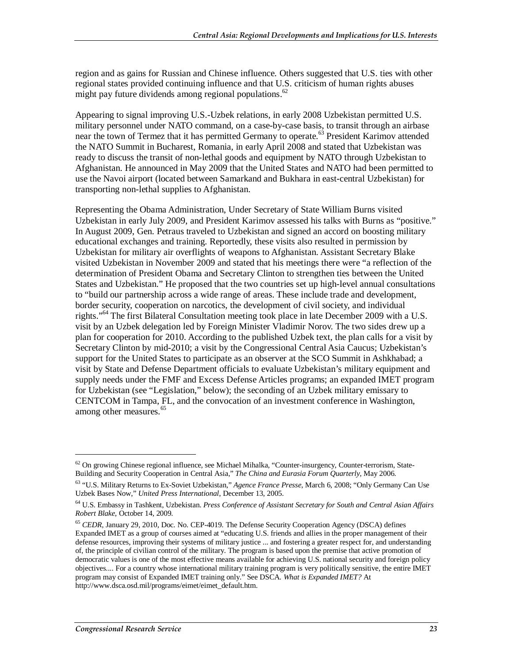region and as gains for Russian and Chinese influence. Others suggested that U.S. ties with other regional states provided continuing influence and that U.S. criticism of human rights abuses might pay future dividends among regional populations. $62$ 

Appearing to signal improving U.S.-Uzbek relations, in early 2008 Uzbekistan permitted U.S. military personnel under NATO command, on a case-by-case basis, to transit through an airbase near the town of Termez that it has permitted Germany to operate.<sup>63</sup> President Karimov attended the NATO Summit in Bucharest, Romania, in early April 2008 and stated that Uzbekistan was ready to discuss the transit of non-lethal goods and equipment by NATO through Uzbekistan to Afghanistan. He announced in May 2009 that the United States and NATO had been permitted to use the Navoi airport (located between Samarkand and Bukhara in east-central Uzbekistan) for transporting non-lethal supplies to Afghanistan.

Representing the Obama Administration, Under Secretary of State William Burns visited Uzbekistan in early July 2009, and President Karimov assessed his talks with Burns as "positive." In August 2009, Gen. Petraus traveled to Uzbekistan and signed an accord on boosting military educational exchanges and training. Reportedly, these visits also resulted in permission by Uzbekistan for military air overflights of weapons to Afghanistan. Assistant Secretary Blake visited Uzbekistan in November 2009 and stated that his meetings there were "a reflection of the determination of President Obama and Secretary Clinton to strengthen ties between the United States and Uzbekistan." He proposed that the two countries set up high-level annual consultations to "build our partnership across a wide range of areas. These include trade and development, border security, cooperation on narcotics, the development of civil society, and individual rights."64 The first Bilateral Consultation meeting took place in late December 2009 with a U.S. visit by an Uzbek delegation led by Foreign Minister Vladimir Norov. The two sides drew up a plan for cooperation for 2010. According to the published Uzbek text, the plan calls for a visit by Secretary Clinton by mid-2010; a visit by the Congressional Central Asia Caucus; Uzbekistan's support for the United States to participate as an observer at the SCO Summit in Ashkhabad; a visit by State and Defense Department officials to evaluate Uzbekistan's military equipment and supply needs under the FMF and Excess Defense Articles programs; an expanded IMET program for Uzbekistan (see "Legislation," below); the seconding of an Uzbek military emissary to CENTCOM in Tampa, FL, and the convocation of an investment conference in Washington, among other measures.<sup>65</sup>

 $62$  On growing Chinese regional influence, see Michael Mihalka, "Counter-insurgency, Counter-terrorism, State-Building and Security Cooperation in Central Asia," *The China and Eurasia Forum Quarterly*, May 2006.

<sup>63 &</sup>quot;U.S. Military Returns to Ex-Soviet Uzbekistan," *Agence France Presse*, March 6, 2008; "Only Germany Can Use Uzbek Bases Now," *United Press International*, December 13, 2005.

<sup>64</sup> U.S. Embassy in Tashkent, Uzbekistan. *Press Conference of Assistant Secretary for South and Central Asian Affairs Robert Blake*, October 14, 2009.

<sup>&</sup>lt;sup>65</sup> *CEDR*, January 29, 2010, Doc. No. CEP-4019. The Defense Security Cooperation Agency (DSCA) defines Expanded IMET as a group of courses aimed at "educating U.S. friends and allies in the proper management of their defense resources, improving their systems of military justice ... and fostering a greater respect for, and understanding of, the principle of civilian control of the military. The program is based upon the premise that active promotion of democratic values is one of the most effective means available for achieving U.S. national security and foreign policy objectives.... For a country whose international military training program is very politically sensitive, the entire IMET program may consist of Expanded IMET training only." See DSCA. *What is Expanded IMET?* At http://www.dsca.osd.mil/programs/eimet/eimet\_default.htm.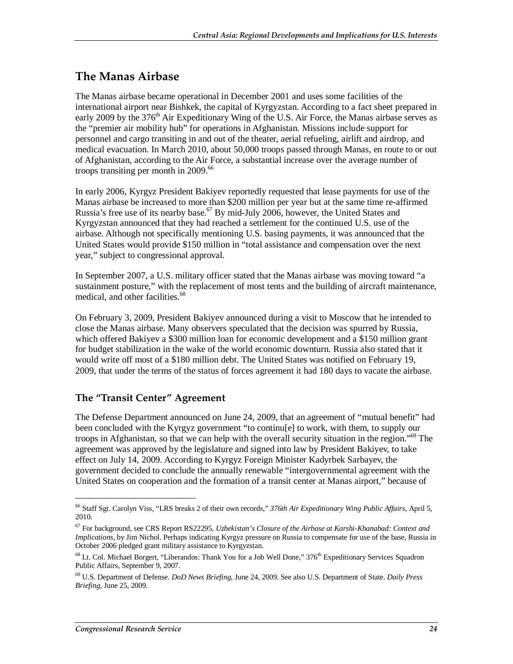#### **The Manas Airbase**

The Manas airbase became operational in December 2001 and uses some facilities of the international airport near Bishkek, the capital of Kyrgyzstan. According to a fact sheet prepared in early 2009 by the 376<sup>th</sup> Air Expeditionary Wing of the U.S. Air Force, the Manas airbase serves as the "premier air mobility hub" for operations in Afghanistan. Missions include support for personnel and cargo transiting in and out of the theater, aerial refueling, airlift and airdrop, and medical evacuation. In March 2010, about 50,000 troops passed through Manas, en route to or out of Afghanistan, according to the Air Force, a substantial increase over the average number of troops transiting per month in 2009.<sup>66</sup>

In early 2006, Kyrgyz President Bakiyev reportedly requested that lease payments for use of the Manas airbase be increased to more than \$200 million per year but at the same time re-affirmed Russia's free use of its nearby base.<sup>67</sup> By mid-July 2006, however, the United States and Kyrgyzstan announced that they had reached a settlement for the continued U.S. use of the airbase. Although not specifically mentioning U.S. basing payments, it was announced that the United States would provide \$150 million in "total assistance and compensation over the next year," subject to congressional approval.

In September 2007, a U.S. military officer stated that the Manas airbase was moving toward "a sustainment posture," with the replacement of most tents and the building of aircraft maintenance, medical, and other facilities.<sup>68</sup>

On February 3, 2009, President Bakiyev announced during a visit to Moscow that he intended to close the Manas airbase. Many observers speculated that the decision was spurred by Russia, which offered Bakiyev a \$300 million loan for economic development and a \$150 million grant for budget stabilization in the wake of the world economic downturn. Russia also stated that it would write off most of a \$180 million debt. The United States was notified on February 19, 2009, that under the terms of the status of forces agreement it had 180 days to vacate the airbase.

#### **The "Transit Center" Agreement**

The Defense Department announced on June 24, 2009, that an agreement of "mutual benefit" had been concluded with the Kyrgyz government "to continu[e] to work, with them, to supply our troops in Afghanistan, so that we can help with the overall security situation in the region."<sup>69</sup> The agreement was approved by the legislature and signed into law by President Bakiyev, to take effect on July 14, 2009. According to Kyrgyz Foreign Minister Kadyrbek Sarbayev, the government decided to conclude the annually renewable "intergovernmental agreement with the United States on cooperation and the formation of a transit center at Manas airport," because of

<sup>66</sup> Staff Sgt. Carolyn Viss, "LRS breaks 2 of their own records," *376th Air Expeditionary Wing Public Affairs*, April 5, 2010.

<sup>67</sup> For background, see CRS Report RS22295, *Uzbekistan's Closure of the Airbase at Karshi-Khanabad: Context and Implications*, by Jim Nichol. Perhaps indicating Kyrgyz pressure on Russia to compensate for use of the base, Russia in October 2006 pledged grant military assistance to Kyrgyzstan.

 $^{68}$  Lt. Col. Michael Borgert, "Liberandos: Thank You for a Job Well Done,"  $376^{\text{th}}$  Expeditionary Services Squadron Public Affairs, September 9, 2007.

<sup>69</sup> U.S. Department of Defense. *DoD News Briefing*, June 24, 2009. See also U.S. Department of State. *Daily Press Briefing*, June 25, 2009.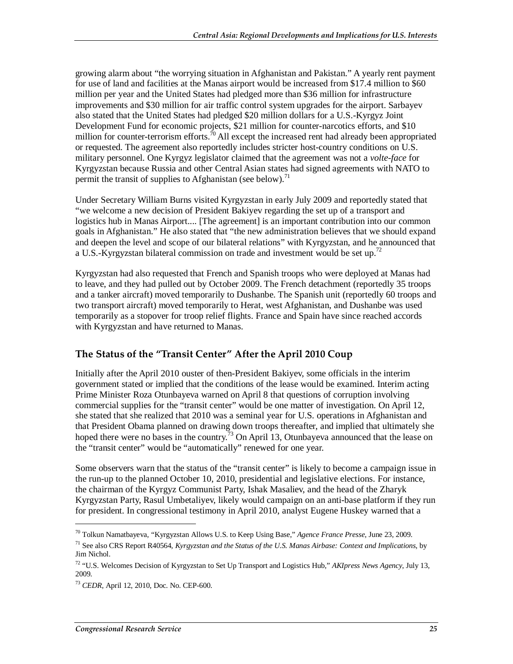growing alarm about "the worrying situation in Afghanistan and Pakistan." A yearly rent payment for use of land and facilities at the Manas airport would be increased from \$17.4 million to \$60 million per year and the United States had pledged more than \$36 million for infrastructure improvements and \$30 million for air traffic control system upgrades for the airport. Sarbayev also stated that the United States had pledged \$20 million dollars for a U.S.-Kyrgyz Joint Development Fund for economic projects, \$21 million for counter-narcotics efforts, and \$10 million for counter-terrorism efforts.<sup>70</sup> All except the increased rent had already been appropriated or requested. The agreement also reportedly includes stricter host-country conditions on U.S. military personnel. One Kyrgyz legislator claimed that the agreement was not a *volte-face* for Kyrgyzstan because Russia and other Central Asian states had signed agreements with NATO to permit the transit of supplies to Afghanistan (see below).<sup>71</sup>

Under Secretary William Burns visited Kyrgyzstan in early July 2009 and reportedly stated that "we welcome a new decision of President Bakiyev regarding the set up of a transport and logistics hub in Manas Airport.... [The agreement] is an important contribution into our common goals in Afghanistan." He also stated that "the new administration believes that we should expand and deepen the level and scope of our bilateral relations" with Kyrgyzstan, and he announced that a U.S.-Kyrgyzstan bilateral commission on trade and investment would be set up.<sup>72</sup>

Kyrgyzstan had also requested that French and Spanish troops who were deployed at Manas had to leave, and they had pulled out by October 2009. The French detachment (reportedly 35 troops and a tanker aircraft) moved temporarily to Dushanbe. The Spanish unit (reportedly 60 troops and two transport aircraft) moved temporarily to Herat, west Afghanistan, and Dushanbe was used temporarily as a stopover for troop relief flights. France and Spain have since reached accords with Kyrgyzstan and have returned to Manas.

#### **The Status of the "Transit Center" After the April 2010 Coup**

Initially after the April 2010 ouster of then-President Bakiyev, some officials in the interim government stated or implied that the conditions of the lease would be examined. Interim acting Prime Minister Roza Otunbayeva warned on April 8 that questions of corruption involving commercial supplies for the "transit center" would be one matter of investigation. On April 12, she stated that she realized that 2010 was a seminal year for U.S. operations in Afghanistan and that President Obama planned on drawing down troops thereafter, and implied that ultimately she hoped there were no bases in the country.<sup>73</sup> On April 13, Otunbayeva announced that the lease on the "transit center" would be "automatically" renewed for one year.

Some observers warn that the status of the "transit center" is likely to become a campaign issue in the run-up to the planned October 10, 2010, presidential and legislative elections. For instance, the chairman of the Kyrgyz Communist Party, Ishak Masaliev, and the head of the Zharyk Kyrgyzstan Party, Rasul Umbetaliyev, likely would campaign on an anti-base platform if they run for president. In congressional testimony in April 2010, analyst Eugene Huskey warned that a

<sup>70</sup> Tolkun Namatbayeva, "Kyrgyzstan Allows U.S. to Keep Using Base," *Agence France Presse*, June 23, 2009.

<sup>71</sup> See also CRS Report R40564, *Kyrgyzstan and the Status of the U.S. Manas Airbase: Context and Implications*, by Jim Nichol.

<sup>72 &</sup>quot;U.S. Welcomes Decision of Kyrgyzstan to Set Up Transport and Logistics Hub," *AKIpress News Agency*, July 13, 2009.

<sup>73</sup> *CEDR*, April 12, 2010, Doc. No. CEP-600.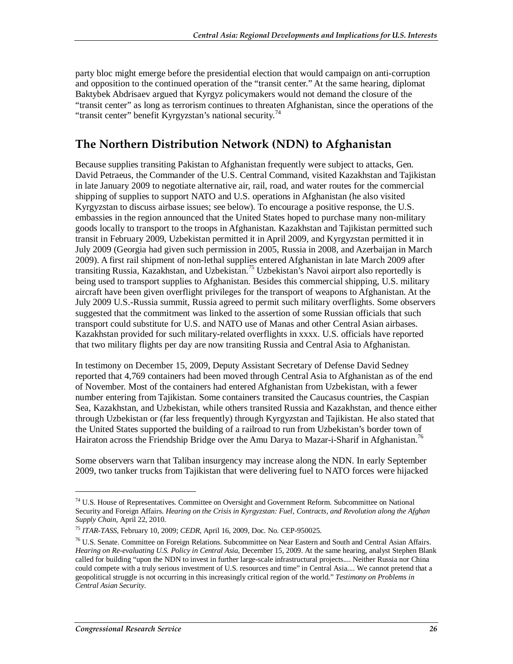party bloc might emerge before the presidential election that would campaign on anti-corruption and opposition to the continued operation of the "transit center." At the same hearing, diplomat Baktybek Abdrisaev argued that Kyrgyz policymakers would not demand the closure of the "transit center" as long as terrorism continues to threaten Afghanistan, since the operations of the "transit center" benefit Kyrgyzstan's national security.<sup>74</sup>

## **The Northern Distribution Network (NDN) to Afghanistan**

Because supplies transiting Pakistan to Afghanistan frequently were subject to attacks, Gen. David Petraeus, the Commander of the U.S. Central Command, visited Kazakhstan and Tajikistan in late January 2009 to negotiate alternative air, rail, road, and water routes for the commercial shipping of supplies to support NATO and U.S. operations in Afghanistan (he also visited Kyrgyzstan to discuss airbase issues; see below). To encourage a positive response, the U.S. embassies in the region announced that the United States hoped to purchase many non-military goods locally to transport to the troops in Afghanistan. Kazakhstan and Tajikistan permitted such transit in February 2009, Uzbekistan permitted it in April 2009, and Kyrgyzstan permitted it in July 2009 (Georgia had given such permission in 2005, Russia in 2008, and Azerbaijan in March 2009). A first rail shipment of non-lethal supplies entered Afghanistan in late March 2009 after transiting Russia, Kazakhstan, and Uzbekistan.<sup>75</sup> Uzbekistan's Navoi airport also reportedly is being used to transport supplies to Afghanistan. Besides this commercial shipping, U.S. military aircraft have been given overflight privileges for the transport of weapons to Afghanistan. At the July 2009 U.S.-Russia summit, Russia agreed to permit such military overflights. Some observers suggested that the commitment was linked to the assertion of some Russian officials that such transport could substitute for U.S. and NATO use of Manas and other Central Asian airbases. Kazakhstan provided for such military-related overflights in xxxx. U.S. officials have reported that two military flights per day are now transiting Russia and Central Asia to Afghanistan.

In testimony on December 15, 2009, Deputy Assistant Secretary of Defense David Sedney reported that 4,769 containers had been moved through Central Asia to Afghanistan as of the end of November. Most of the containers had entered Afghanistan from Uzbekistan, with a fewer number entering from Tajikistan. Some containers transited the Caucasus countries, the Caspian Sea, Kazakhstan, and Uzbekistan, while others transited Russia and Kazakhstan, and thence either through Uzbekistan or (far less frequently) through Kyrgyzstan and Tajikistan. He also stated that the United States supported the building of a railroad to run from Uzbekistan's border town of Hairaton across the Friendship Bridge over the Amu Darya to Mazar-i-Sharif in Afghanistan.<sup>76</sup>

Some observers warn that Taliban insurgency may increase along the NDN. In early September 2009, two tanker trucks from Tajikistan that were delivering fuel to NATO forces were hijacked

<sup>74</sup> U.S. House of Representatives. Committee on Oversight and Government Reform. Subcommittee on National Security and Foreign Affairs. *Hearing on the Crisis in Kyrgyzstan: Fuel, Contracts, and Revolution along the Afghan Supply Chain*, April 22, 2010.

<sup>75</sup> *ITAR-TASS*, February 10, 2009; *CEDR*, April 16, 2009, Doc. No. CEP-950025.

<sup>76</sup> U.S. Senate. Committee on Foreign Relations. Subcommittee on Near Eastern and South and Central Asian Affairs. *Hearing on Re-evaluating U.S. Policy in Central Asia*, December 15, 2009. At the same hearing, analyst Stephen Blank called for building "upon the NDN to invest in further large-scale infrastructural projects.... Neither Russia nor China could compete with a truly serious investment of U.S. resources and time" in Central Asia.... We cannot pretend that a geopolitical struggle is not occurring in this increasingly critical region of the world." *Testimony on Problems in Central Asian Security*.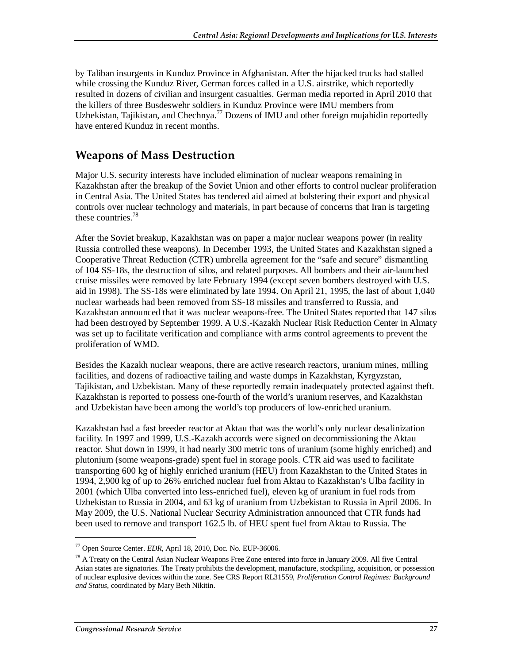by Taliban insurgents in Kunduz Province in Afghanistan. After the hijacked trucks had stalled while crossing the Kunduz River, German forces called in a U.S. airstrike, which reportedly resulted in dozens of civilian and insurgent casualties. German media reported in April 2010 that the killers of three Busdeswehr soldiers in Kunduz Province were IMU members from Uzbekistan, Tajikistan, and Chechnya.<sup>77</sup> Dozens of IMU and other foreign mujahidin reportedly have entered Kunduz in recent months.

#### **Weapons of Mass Destruction**

Major U.S. security interests have included elimination of nuclear weapons remaining in Kazakhstan after the breakup of the Soviet Union and other efforts to control nuclear proliferation in Central Asia. The United States has tendered aid aimed at bolstering their export and physical controls over nuclear technology and materials, in part because of concerns that Iran is targeting these countries.<sup>78</sup>

After the Soviet breakup, Kazakhstan was on paper a major nuclear weapons power (in reality Russia controlled these weapons). In December 1993, the United States and Kazakhstan signed a Cooperative Threat Reduction (CTR) umbrella agreement for the "safe and secure" dismantling of 104 SS-18s, the destruction of silos, and related purposes. All bombers and their air-launched cruise missiles were removed by late February 1994 (except seven bombers destroyed with U.S. aid in 1998). The SS-18s were eliminated by late 1994. On April 21, 1995, the last of about 1,040 nuclear warheads had been removed from SS-18 missiles and transferred to Russia, and Kazakhstan announced that it was nuclear weapons-free. The United States reported that 147 silos had been destroyed by September 1999. A U.S.-Kazakh Nuclear Risk Reduction Center in Almaty was set up to facilitate verification and compliance with arms control agreements to prevent the proliferation of WMD.

Besides the Kazakh nuclear weapons, there are active research reactors, uranium mines, milling facilities, and dozens of radioactive tailing and waste dumps in Kazakhstan, Kyrgyzstan, Tajikistan, and Uzbekistan. Many of these reportedly remain inadequately protected against theft. Kazakhstan is reported to possess one-fourth of the world's uranium reserves, and Kazakhstan and Uzbekistan have been among the world's top producers of low-enriched uranium.

Kazakhstan had a fast breeder reactor at Aktau that was the world's only nuclear desalinization facility. In 1997 and 1999, U.S.-Kazakh accords were signed on decommissioning the Aktau reactor. Shut down in 1999, it had nearly 300 metric tons of uranium (some highly enriched) and plutonium (some weapons-grade) spent fuel in storage pools. CTR aid was used to facilitate transporting 600 kg of highly enriched uranium (HEU) from Kazakhstan to the United States in 1994, 2,900 kg of up to 26% enriched nuclear fuel from Aktau to Kazakhstan's Ulba facility in 2001 (which Ulba converted into less-enriched fuel), eleven kg of uranium in fuel rods from Uzbekistan to Russia in 2004, and 63 kg of uranium from Uzbekistan to Russia in April 2006. In May 2009, the U.S. National Nuclear Security Administration announced that CTR funds had been used to remove and transport 162.5 lb. of HEU spent fuel from Aktau to Russia. The

<sup>77</sup> Open Source Center. *EDR*, April 18, 2010, Doc. No. EUP-36006.

 $78$  A Treaty on the Central Asian Nuclear Weapons Free Zone entered into force in January 2009. All five Central Asian states are signatories. The Treaty prohibits the development, manufacture, stockpiling, acquisition, or possession of nuclear explosive devices within the zone. See CRS Report RL31559, *Proliferation Control Regimes: Background and Status*, coordinated by Mary Beth Nikitin.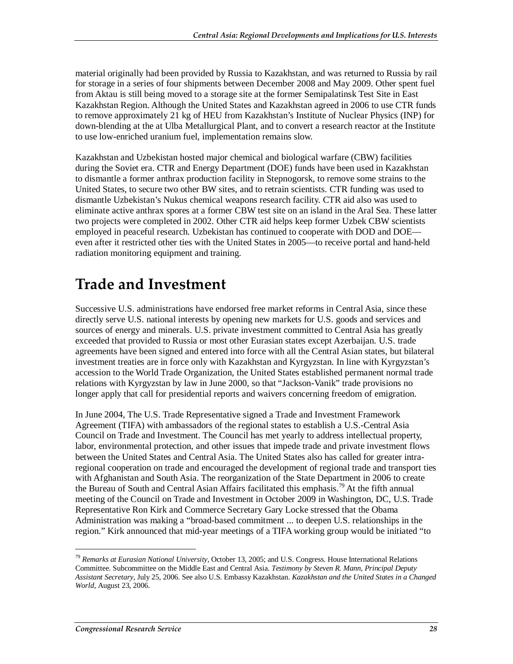material originally had been provided by Russia to Kazakhstan, and was returned to Russia by rail for storage in a series of four shipments between December 2008 and May 2009. Other spent fuel from Aktau is still being moved to a storage site at the former Semipalatinsk Test Site in East Kazakhstan Region. Although the United States and Kazakhstan agreed in 2006 to use CTR funds to remove approximately 21 kg of HEU from Kazakhstan's Institute of Nuclear Physics (INP) for down-blending at the at Ulba Metallurgical Plant, and to convert a research reactor at the Institute to use low-enriched uranium fuel, implementation remains slow.

Kazakhstan and Uzbekistan hosted major chemical and biological warfare (CBW) facilities during the Soviet era. CTR and Energy Department (DOE) funds have been used in Kazakhstan to dismantle a former anthrax production facility in Stepnogorsk, to remove some strains to the United States, to secure two other BW sites, and to retrain scientists. CTR funding was used to dismantle Uzbekistan's Nukus chemical weapons research facility. CTR aid also was used to eliminate active anthrax spores at a former CBW test site on an island in the Aral Sea. These latter two projects were completed in 2002. Other CTR aid helps keep former Uzbek CBW scientists employed in peaceful research. Uzbekistan has continued to cooperate with DOD and DOE even after it restricted other ties with the United States in 2005—to receive portal and hand-held radiation monitoring equipment and training.

# **Trade and Investment**

Successive U.S. administrations have endorsed free market reforms in Central Asia, since these directly serve U.S. national interests by opening new markets for U.S. goods and services and sources of energy and minerals. U.S. private investment committed to Central Asia has greatly exceeded that provided to Russia or most other Eurasian states except Azerbaijan. U.S. trade agreements have been signed and entered into force with all the Central Asian states, but bilateral investment treaties are in force only with Kazakhstan and Kyrgyzstan. In line with Kyrgyzstan's accession to the World Trade Organization, the United States established permanent normal trade relations with Kyrgyzstan by law in June 2000, so that "Jackson-Vanik" trade provisions no longer apply that call for presidential reports and waivers concerning freedom of emigration.

In June 2004, The U.S. Trade Representative signed a Trade and Investment Framework Agreement (TIFA) with ambassadors of the regional states to establish a U.S.-Central Asia Council on Trade and Investment. The Council has met yearly to address intellectual property, labor, environmental protection, and other issues that impede trade and private investment flows between the United States and Central Asia. The United States also has called for greater intraregional cooperation on trade and encouraged the development of regional trade and transport ties with Afghanistan and South Asia. The reorganization of the State Department in 2006 to create the Bureau of South and Central Asian Affairs facilitated this emphasis.<sup>79</sup> At the fifth annual meeting of the Council on Trade and Investment in October 2009 in Washington, DC, U.S. Trade Representative Ron Kirk and Commerce Secretary Gary Locke stressed that the Obama Administration was making a "broad-based commitment ... to deepen U.S. relationships in the region." Kirk announced that mid-year meetings of a TIFA working group would be initiated "to

<sup>79</sup> *Remarks at Eurasian National University,* October 13, 2005; and U.S. Congress. House International Relations Committee. Subcommittee on the Middle East and Central Asia. *Testimony by Steven R. Mann, Principal Deputy Assistant Secretary*, July 25, 2006. See also U.S. Embassy Kazakhstan. *Kazakhstan and the United States in a Changed World*, August 23, 2006.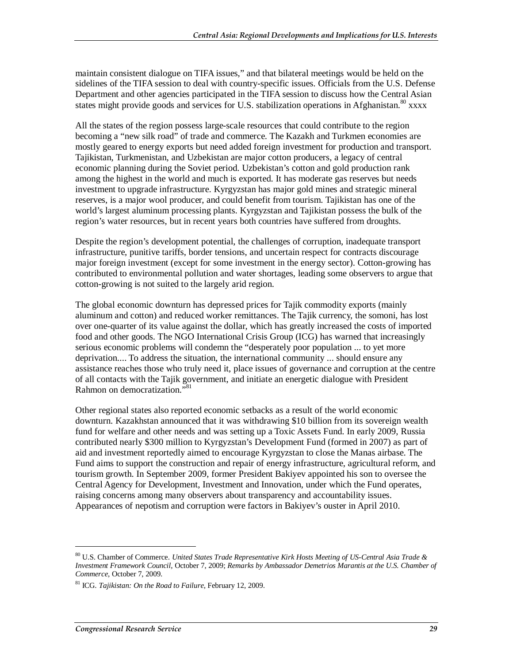maintain consistent dialogue on TIFA issues," and that bilateral meetings would be held on the sidelines of the TIFA session to deal with country-specific issues. Officials from the U.S. Defense Department and other agencies participated in the TIFA session to discuss how the Central Asian states might provide goods and services for U.S. stabilization operations in Afghanistan.<sup>80</sup> xxxx

All the states of the region possess large-scale resources that could contribute to the region becoming a "new silk road" of trade and commerce. The Kazakh and Turkmen economies are mostly geared to energy exports but need added foreign investment for production and transport. Tajikistan, Turkmenistan, and Uzbekistan are major cotton producers, a legacy of central economic planning during the Soviet period. Uzbekistan's cotton and gold production rank among the highest in the world and much is exported. It has moderate gas reserves but needs investment to upgrade infrastructure. Kyrgyzstan has major gold mines and strategic mineral reserves, is a major wool producer, and could benefit from tourism. Tajikistan has one of the world's largest aluminum processing plants. Kyrgyzstan and Tajikistan possess the bulk of the region's water resources, but in recent years both countries have suffered from droughts.

Despite the region's development potential, the challenges of corruption, inadequate transport infrastructure, punitive tariffs, border tensions, and uncertain respect for contracts discourage major foreign investment (except for some investment in the energy sector). Cotton-growing has contributed to environmental pollution and water shortages, leading some observers to argue that cotton-growing is not suited to the largely arid region.

The global economic downturn has depressed prices for Tajik commodity exports (mainly aluminum and cotton) and reduced worker remittances. The Tajik currency, the somoni, has lost over one-quarter of its value against the dollar, which has greatly increased the costs of imported food and other goods. The NGO International Crisis Group (ICG) has warned that increasingly serious economic problems will condemn the "desperately poor population ... to yet more deprivation.... To address the situation, the international community ... should ensure any assistance reaches those who truly need it, place issues of governance and corruption at the centre of all contacts with the Tajik government, and initiate an energetic dialogue with President Rahmon on democratization."<sup>81</sup>

Other regional states also reported economic setbacks as a result of the world economic downturn. Kazakhstan announced that it was withdrawing \$10 billion from its sovereign wealth fund for welfare and other needs and was setting up a Toxic Assets Fund. In early 2009, Russia contributed nearly \$300 million to Kyrgyzstan's Development Fund (formed in 2007) as part of aid and investment reportedly aimed to encourage Kyrgyzstan to close the Manas airbase. The Fund aims to support the construction and repair of energy infrastructure, agricultural reform, and tourism growth. In September 2009, former President Bakiyev appointed his son to oversee the Central Agency for Development, Investment and Innovation, under which the Fund operates, raising concerns among many observers about transparency and accountability issues. Appearances of nepotism and corruption were factors in Bakiyev's ouster in April 2010.

<sup>80</sup> U.S. Chamber of Commerce. *United States Trade Representative Kirk Hosts Meeting of US-Central Asia Trade & Investment Framework Council*, October 7, 2009; *Remarks by Ambassador Demetrios Marantis at the U.S. Chamber of Commerce*, October 7, 2009.

<sup>81</sup> ICG. *Tajikistan: On the Road to Failure*, February 12, 2009.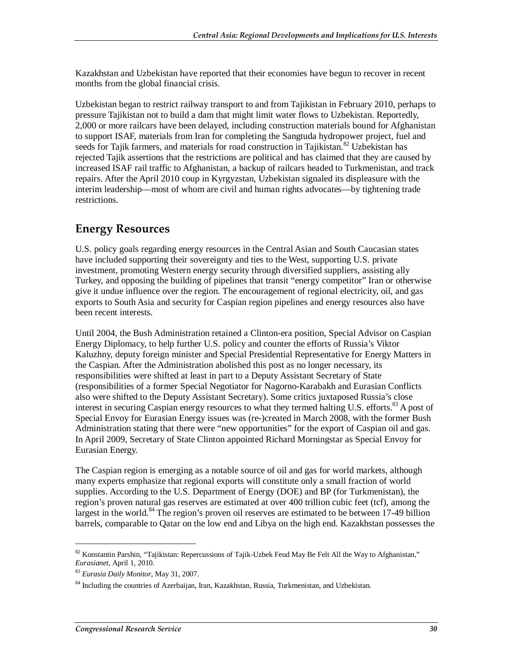Kazakhstan and Uzbekistan have reported that their economies have begun to recover in recent months from the global financial crisis.

Uzbekistan began to restrict railway transport to and from Tajikistan in February 2010, perhaps to pressure Tajikistan not to build a dam that might limit water flows to Uzbekistan. Reportedly, 2,000 or more railcars have been delayed, including construction materials bound for Afghanistan to support ISAF, materials from Iran for completing the Sangtuda hydropower project, fuel and seeds for Tajik farmers, and materials for road construction in Tajikistan.<sup>82</sup> Uzbekistan has rejected Tajik assertions that the restrictions are political and has claimed that they are caused by increased ISAF rail traffic to Afghanistan, a backup of railcars headed to Turkmenistan, and track repairs. After the April 2010 coup in Kyrgyzstan, Uzbekistan signaled its displeasure with the interim leadership—most of whom are civil and human rights advocates—by tightening trade restrictions.

## **Energy Resources**

U.S. policy goals regarding energy resources in the Central Asian and South Caucasian states have included supporting their sovereignty and ties to the West, supporting U.S. private investment, promoting Western energy security through diversified suppliers, assisting ally Turkey, and opposing the building of pipelines that transit "energy competitor" Iran or otherwise give it undue influence over the region. The encouragement of regional electricity, oil, and gas exports to South Asia and security for Caspian region pipelines and energy resources also have been recent interests.

Until 2004, the Bush Administration retained a Clinton-era position, Special Advisor on Caspian Energy Diplomacy, to help further U.S. policy and counter the efforts of Russia's Viktor Kaluzhny, deputy foreign minister and Special Presidential Representative for Energy Matters in the Caspian. After the Administration abolished this post as no longer necessary, its responsibilities were shifted at least in part to a Deputy Assistant Secretary of State (responsibilities of a former Special Negotiator for Nagorno-Karabakh and Eurasian Conflicts also were shifted to the Deputy Assistant Secretary). Some critics juxtaposed Russia's close interest in securing Caspian energy resources to what they termed halting U.S. efforts.<sup>83</sup> A post of Special Envoy for Eurasian Energy issues was (re-)created in March 2008, with the former Bush Administration stating that there were "new opportunities" for the export of Caspian oil and gas. In April 2009, Secretary of State Clinton appointed Richard Morningstar as Special Envoy for Eurasian Energy.

The Caspian region is emerging as a notable source of oil and gas for world markets, although many experts emphasize that regional exports will constitute only a small fraction of world supplies. According to the U.S. Department of Energy (DOE) and BP (for Turkmenistan), the region's proven natural gas reserves are estimated at over 400 trillion cubic feet (tcf), among the largest in the world.<sup>84</sup> The region's proven oil reserves are estimated to be between 17-49 billion barrels, comparable to Qatar on the low end and Libya on the high end. Kazakhstan possesses the

 $82$  Konstantin Parshin, "Tajikistan: Repercussions of Tajik-Uzbek Feud May Be Felt All the Way to Afghanistan,"<br>Eurasianet, April 1, 2010.

<sup>&</sup>lt;sup>83</sup> Eurasia Daily Monitor, May 31, 2007.

<sup>84</sup> Including the countries of Azerbaijan, Iran, Kazakhstan, Russia, Turkmenistan, and Uzbekistan.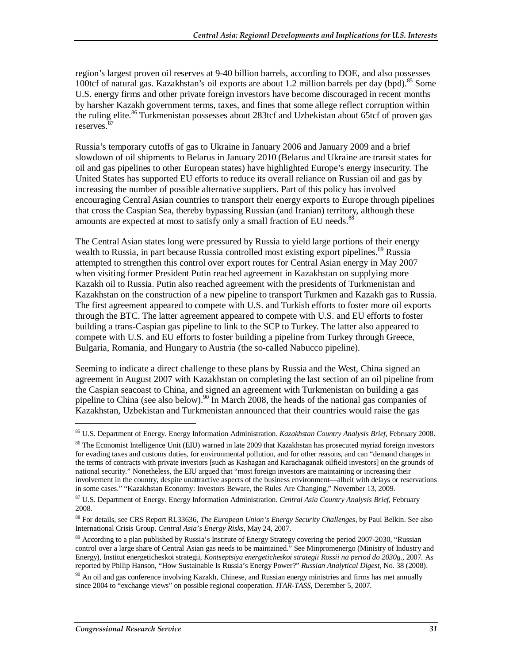region's largest proven oil reserves at 9-40 billion barrels, according to DOE, and also possesses 100tcf of natural gas. Kazakhstan's oil exports are about 1.2 million barrels per day (bpd).<sup>85</sup> Some U.S. energy firms and other private foreign investors have become discouraged in recent months by harsher Kazakh government terms, taxes, and fines that some allege reflect corruption within the ruling elite.<sup>86</sup> Turkmenistan possesses about 283tcf and Uzbekistan about 65tcf of proven gas reserves.<sup>87</sup>

Russia's temporary cutoffs of gas to Ukraine in January 2006 and January 2009 and a brief slowdown of oil shipments to Belarus in January 2010 (Belarus and Ukraine are transit states for oil and gas pipelines to other European states) have highlighted Europe's energy insecurity. The United States has supported EU efforts to reduce its overall reliance on Russian oil and gas by increasing the number of possible alternative suppliers. Part of this policy has involved encouraging Central Asian countries to transport their energy exports to Europe through pipelines that cross the Caspian Sea, thereby bypassing Russian (and Iranian) territory, although these amounts are expected at most to satisfy only a small fraction of EU needs.<sup>8</sup>

The Central Asian states long were pressured by Russia to yield large portions of their energy wealth to Russia, in part because Russia controlled most existing export pipelines.<sup>89</sup> Russia attempted to strengthen this control over export routes for Central Asian energy in May 2007 when visiting former President Putin reached agreement in Kazakhstan on supplying more Kazakh oil to Russia. Putin also reached agreement with the presidents of Turkmenistan and Kazakhstan on the construction of a new pipeline to transport Turkmen and Kazakh gas to Russia. The first agreement appeared to compete with U.S. and Turkish efforts to foster more oil exports through the BTC. The latter agreement appeared to compete with U.S. and EU efforts to foster building a trans-Caspian gas pipeline to link to the SCP to Turkey. The latter also appeared to compete with U.S. and EU efforts to foster building a pipeline from Turkey through Greece, Bulgaria, Romania, and Hungary to Austria (the so-called Nabucco pipeline).

Seeming to indicate a direct challenge to these plans by Russia and the West, China signed an agreement in August 2007 with Kazakhstan on completing the last section of an oil pipeline from the Caspian seacoast to China, and signed an agreement with Turkmenistan on building a gas pipeline to China (see also below).<sup>90</sup> In March 2008, the heads of the national gas companies of Kazakhstan, Uzbekistan and Turkmenistan announced that their countries would raise the gas

<sup>85</sup> U.S. Department of Energy. Energy Information Administration. *Kazakhstan Country Analysis Brief*, February 2008.

 $86$  The Economist Intelligence Unit (EIU) warned in late 2009 that Kazakhstan has prosecuted myriad foreign investors for evading taxes and customs duties, for environmental pollution, and for other reasons, and can "demand changes in the terms of contracts with private investors [such as Kashagan and Karachaganak oilfield investors] on the grounds of national security." Nonetheless, the EIU argued that "most foreign investors are maintaining or increasing their involvement in the country, despite unattractive aspects of the business environment—albeit with delays or reservations in some cases." "Kazakhstan Economy: Investors Beware, the Rules Are Changing," November 13, 2009.

<sup>87</sup> U.S. Department of Energy. Energy Information Administration. *Central Asia Country Analysis Brief*, February 2008.

<sup>88</sup> For details, see CRS Report RL33636, *The European Union's Energy Security Challenges*, by Paul Belkin. See also International Crisis Group. *Central Asia's Energy Risks*, May 24, 2007.

<sup>&</sup>lt;sup>89</sup> According to a plan published by Russia's Institute of Energy Strategy covering the period 2007-2030, "Russian control over a large share of Central Asian gas needs to be maintained." See Minpromenergo (Ministry of Industry and Energy), Institut energeticheskoi strategii, *Kontseptsiya energeticheskoi strategii Rossii na period do 2030g.,* 2007. As reported by Philip Hanson, "How Sustainable Is Russia's Energy Power?" *Russian Analytical Digest*, No. 38 (2008).

<sup>&</sup>lt;sup>90</sup> An oil and gas conference involving Kazakh, Chinese, and Russian energy ministries and firms has met annually since 2004 to "exchange views" on possible regional cooperation. *ITAR-TASS*, December 5, 2007.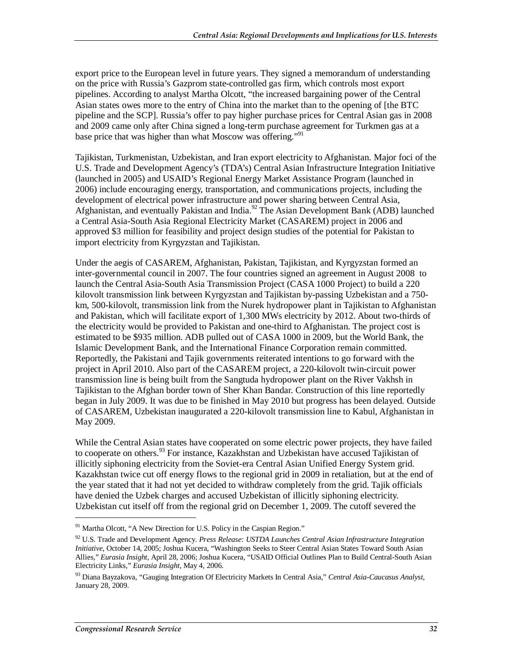export price to the European level in future years. They signed a memorandum of understanding on the price with Russia's Gazprom state-controlled gas firm, which controls most export pipelines. According to analyst Martha Olcott, "the increased bargaining power of the Central Asian states owes more to the entry of China into the market than to the opening of [the BTC pipeline and the SCP]. Russia's offer to pay higher purchase prices for Central Asian gas in 2008 and 2009 came only after China signed a long-term purchase agreement for Turkmen gas at a base price that was higher than what Moscow was offering."<sup>91</sup>

Tajikistan, Turkmenistan, Uzbekistan, and Iran export electricity to Afghanistan. Major foci of the U.S. Trade and Development Agency's (TDA's) Central Asian Infrastructure Integration Initiative (launched in 2005) and USAID's Regional Energy Market Assistance Program (launched in 2006) include encouraging energy, transportation, and communications projects, including the development of electrical power infrastructure and power sharing between Central Asia, Afghanistan, and eventually Pakistan and India.<sup>92</sup> The Asian Development Bank (ADB) launched a Central Asia-South Asia Regional Electricity Market (CASAREM) project in 2006 and approved \$3 million for feasibility and project design studies of the potential for Pakistan to import electricity from Kyrgyzstan and Tajikistan.

Under the aegis of CASAREM, Afghanistan, Pakistan, Tajikistan, and Kyrgyzstan formed an inter-governmental council in 2007. The four countries signed an agreement in August 2008 to launch the Central Asia-South Asia Transmission Project (CASA 1000 Project) to build a 220 kilovolt transmission link between Kyrgyzstan and Tajikistan by-passing Uzbekistan and a 750 km, 500-kilovolt, transmission link from the Nurek hydropower plant in Tajikistan to Afghanistan and Pakistan, which will facilitate export of 1,300 MWs electricity by 2012. About two-thirds of the electricity would be provided to Pakistan and one-third to Afghanistan. The project cost is estimated to be \$935 million. ADB pulled out of CASA 1000 in 2009, but the World Bank, the Islamic Development Bank, and the International Finance Corporation remain committed. Reportedly, the Pakistani and Tajik governments reiterated intentions to go forward with the project in April 2010. Also part of the CASAREM project, a 220-kilovolt twin-circuit power transmission line is being built from the Sangtuda hydropower plant on the River Vakhsh in Tajikistan to the Afghan border town of Sher Khan Bandar. Construction of this line reportedly began in July 2009. It was due to be finished in May 2010 but progress has been delayed. Outside of CASAREM, Uzbekistan inaugurated a 220-kilovolt transmission line to Kabul, Afghanistan in May 2009.

While the Central Asian states have cooperated on some electric power projects, they have failed to cooperate on others.<sup>93</sup> For instance, Kazakhstan and Uzbekistan have accused Tajikistan of illicitly siphoning electricity from the Soviet-era Central Asian Unified Energy System grid. Kazakhstan twice cut off energy flows to the regional grid in 2009 in retaliation, but at the end of the year stated that it had not yet decided to withdraw completely from the grid. Tajik officials have denied the Uzbek charges and accused Uzbekistan of illicitly siphoning electricity. Uzbekistan cut itself off from the regional grid on December 1, 2009. The cutoff severed the

 $91$  Martha Olcott, "A New Direction for U.S. Policy in the Caspian Region."

<sup>92</sup> U.S. Trade and Development Agency. *Press Release: USTDA Launches Central Asian Infrastructure Integration Initiative*, October 14, 2005; Joshua Kucera, "Washington Seeks to Steer Central Asian States Toward South Asian Allies," *Eurasia Insight*, April 28, 2006; Joshua Kucera, "USAID Official Outlines Plan to Build Central-South Asian Electricity Links," *Eurasia Insight*, May 4, 2006.

<sup>93</sup> Diana Bayzakova, "Gauging Integration Of Electricity Markets In Central Asia," *Central Asia-Caucasus Analyst*, January 28, 2009.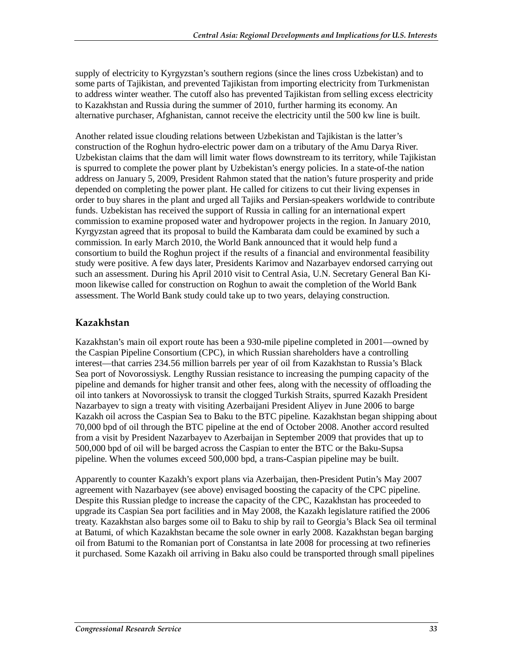supply of electricity to Kyrgyzstan's southern regions (since the lines cross Uzbekistan) and to some parts of Tajikistan, and prevented Tajikistan from importing electricity from Turkmenistan to address winter weather. The cutoff also has prevented Tajikistan from selling excess electricity to Kazakhstan and Russia during the summer of 2010, further harming its economy. An alternative purchaser, Afghanistan, cannot receive the electricity until the 500 kw line is built.

Another related issue clouding relations between Uzbekistan and Tajikistan is the latter's construction of the Roghun hydro-electric power dam on a tributary of the Amu Darya River. Uzbekistan claims that the dam will limit water flows downstream to its territory, while Tajikistan is spurred to complete the power plant by Uzbekistan's energy policies. In a state-of-the nation address on January 5, 2009, President Rahmon stated that the nation's future prosperity and pride depended on completing the power plant. He called for citizens to cut their living expenses in order to buy shares in the plant and urged all Tajiks and Persian-speakers worldwide to contribute funds. Uzbekistan has received the support of Russia in calling for an international expert commission to examine proposed water and hydropower projects in the region. In January 2010, Kyrgyzstan agreed that its proposal to build the Kambarata dam could be examined by such a commission. In early March 2010, the World Bank announced that it would help fund a consortium to build the Roghun project if the results of a financial and environmental feasibility study were positive. A few days later, Presidents Karimov and Nazarbayev endorsed carrying out such an assessment. During his April 2010 visit to Central Asia, U.N. Secretary General Ban Kimoon likewise called for construction on Roghun to await the completion of the World Bank assessment. The World Bank study could take up to two years, delaying construction.

#### **Kazakhstan**

Kazakhstan's main oil export route has been a 930-mile pipeline completed in 2001—owned by the Caspian Pipeline Consortium (CPC), in which Russian shareholders have a controlling interest—that carries 234.56 million barrels per year of oil from Kazakhstan to Russia's Black Sea port of Novorossiysk. Lengthy Russian resistance to increasing the pumping capacity of the pipeline and demands for higher transit and other fees, along with the necessity of offloading the oil into tankers at Novorossiysk to transit the clogged Turkish Straits, spurred Kazakh President Nazarbayev to sign a treaty with visiting Azerbaijani President Aliyev in June 2006 to barge Kazakh oil across the Caspian Sea to Baku to the BTC pipeline. Kazakhstan began shipping about 70,000 bpd of oil through the BTC pipeline at the end of October 2008. Another accord resulted from a visit by President Nazarbayev to Azerbaijan in September 2009 that provides that up to 500,000 bpd of oil will be barged across the Caspian to enter the BTC or the Baku-Supsa pipeline. When the volumes exceed 500,000 bpd, a trans-Caspian pipeline may be built.

Apparently to counter Kazakh's export plans via Azerbaijan, then-President Putin's May 2007 agreement with Nazarbayev (see above) envisaged boosting the capacity of the CPC pipeline. Despite this Russian pledge to increase the capacity of the CPC, Kazakhstan has proceeded to upgrade its Caspian Sea port facilities and in May 2008, the Kazakh legislature ratified the 2006 treaty. Kazakhstan also barges some oil to Baku to ship by rail to Georgia's Black Sea oil terminal at Batumi, of which Kazakhstan became the sole owner in early 2008. Kazakhstan began barging oil from Batumi to the Romanian port of Constantsa in late 2008 for processing at two refineries it purchased. Some Kazakh oil arriving in Baku also could be transported through small pipelines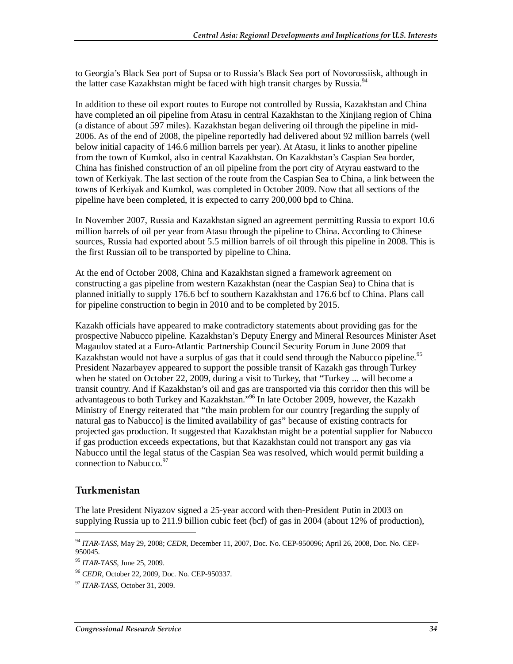to Georgia's Black Sea port of Supsa or to Russia's Black Sea port of Novorossiisk, although in the latter case Kazakhstan might be faced with high transit charges by Russia.<sup>94</sup>

In addition to these oil export routes to Europe not controlled by Russia, Kazakhstan and China have completed an oil pipeline from Atasu in central Kazakhstan to the Xinjiang region of China (a distance of about 597 miles). Kazakhstan began delivering oil through the pipeline in mid-2006. As of the end of 2008, the pipeline reportedly had delivered about 92 million barrels (well below initial capacity of 146.6 million barrels per year). At Atasu, it links to another pipeline from the town of Kumkol, also in central Kazakhstan. On Kazakhstan's Caspian Sea border, China has finished construction of an oil pipeline from the port city of Atyrau eastward to the town of Kerkiyak. The last section of the route from the Caspian Sea to China, a link between the towns of Kerkiyak and Kumkol, was completed in October 2009. Now that all sections of the pipeline have been completed, it is expected to carry 200,000 bpd to China.

In November 2007, Russia and Kazakhstan signed an agreement permitting Russia to export 10.6 million barrels of oil per year from Atasu through the pipeline to China. According to Chinese sources, Russia had exported about 5.5 million barrels of oil through this pipeline in 2008. This is the first Russian oil to be transported by pipeline to China.

At the end of October 2008, China and Kazakhstan signed a framework agreement on constructing a gas pipeline from western Kazakhstan (near the Caspian Sea) to China that is planned initially to supply 176.6 bcf to southern Kazakhstan and 176.6 bcf to China. Plans call for pipeline construction to begin in 2010 and to be completed by 2015.

Kazakh officials have appeared to make contradictory statements about providing gas for the prospective Nabucco pipeline. Kazakhstan's Deputy Energy and Mineral Resources Minister Aset Magaulov stated at a Euro-Atlantic Partnership Council Security Forum in June 2009 that Kazakhstan would not have a surplus of gas that it could send through the Nabucco pipeline.<sup>95</sup> President Nazarbayev appeared to support the possible transit of Kazakh gas through Turkey when he stated on October 22, 2009, during a visit to Turkey, that "Turkey ... will become a transit country. And if Kazakhstan's oil and gas are transported via this corridor then this will be advantageous to both Turkey and Kazakhstan."<sup>96</sup> In late October 2009, however, the Kazakh Ministry of Energy reiterated that "the main problem for our country [regarding the supply of natural gas to Nabucco] is the limited availability of gas" because of existing contracts for projected gas production. It suggested that Kazakhstan might be a potential supplier for Nabucco if gas production exceeds expectations, but that Kazakhstan could not transport any gas via Nabucco until the legal status of the Caspian Sea was resolved, which would permit building a connection to Nabucco.<sup>97</sup>

#### **Turkmenistan**

1

The late President Niyazov signed a 25-year accord with then-President Putin in 2003 on supplying Russia up to 211.9 billion cubic feet (bcf) of gas in 2004 (about 12% of production),

<sup>94</sup> *ITAR-TASS*, May 29, 2008; *CEDR*, December 11, 2007, Doc. No. CEP-950096; April 26, 2008, Doc. No. CEP-950045.

<sup>95</sup> *ITAR-TASS*, June 25, 2009.

<sup>96</sup> *CEDR*, October 22, 2009, Doc. No. CEP-950337.

<sup>97</sup> *ITAR-TASS*, October 31, 2009.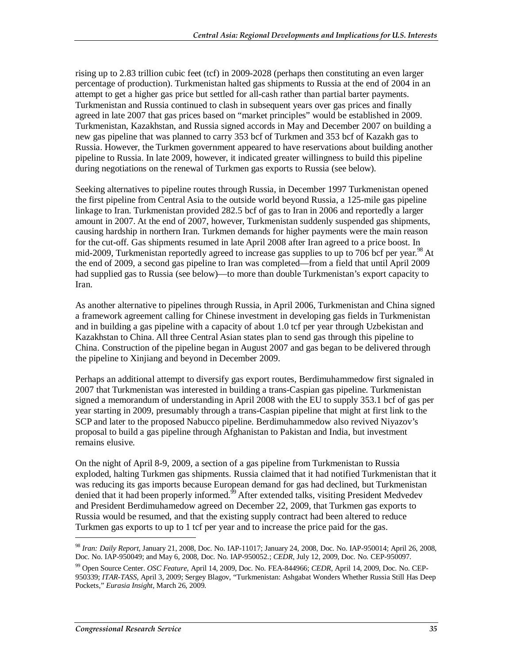rising up to 2.83 trillion cubic feet (tcf) in 2009-2028 (perhaps then constituting an even larger percentage of production). Turkmenistan halted gas shipments to Russia at the end of 2004 in an attempt to get a higher gas price but settled for all-cash rather than partial barter payments. Turkmenistan and Russia continued to clash in subsequent years over gas prices and finally agreed in late 2007 that gas prices based on "market principles" would be established in 2009. Turkmenistan, Kazakhstan, and Russia signed accords in May and December 2007 on building a new gas pipeline that was planned to carry 353 bcf of Turkmen and 353 bcf of Kazakh gas to Russia. However, the Turkmen government appeared to have reservations about building another pipeline to Russia. In late 2009, however, it indicated greater willingness to build this pipeline during negotiations on the renewal of Turkmen gas exports to Russia (see below).

Seeking alternatives to pipeline routes through Russia, in December 1997 Turkmenistan opened the first pipeline from Central Asia to the outside world beyond Russia, a 125-mile gas pipeline linkage to Iran. Turkmenistan provided 282.5 bcf of gas to Iran in 2006 and reportedly a larger amount in 2007. At the end of 2007, however, Turkmenistan suddenly suspended gas shipments, causing hardship in northern Iran. Turkmen demands for higher payments were the main reason for the cut-off. Gas shipments resumed in late April 2008 after Iran agreed to a price boost. In mid-2009, Turkmenistan reportedly agreed to increase gas supplies to up to 706 bcf per year.<sup>98</sup> At the end of 2009, a second gas pipeline to Iran was completed—from a field that until April 2009 had supplied gas to Russia (see below)—to more than double Turkmenistan's export capacity to Iran.

As another alternative to pipelines through Russia, in April 2006, Turkmenistan and China signed a framework agreement calling for Chinese investment in developing gas fields in Turkmenistan and in building a gas pipeline with a capacity of about 1.0 tcf per year through Uzbekistan and Kazakhstan to China. All three Central Asian states plan to send gas through this pipeline to China. Construction of the pipeline began in August 2007 and gas began to be delivered through the pipeline to Xinjiang and beyond in December 2009.

Perhaps an additional attempt to diversify gas export routes, Berdimuhammedow first signaled in 2007 that Turkmenistan was interested in building a trans-Caspian gas pipeline. Turkmenistan signed a memorandum of understanding in April 2008 with the EU to supply 353.1 bcf of gas per year starting in 2009, presumably through a trans-Caspian pipeline that might at first link to the SCP and later to the proposed Nabucco pipeline. Berdimuhammedow also revived Niyazov's proposal to build a gas pipeline through Afghanistan to Pakistan and India, but investment remains elusive.

On the night of April 8-9, 2009, a section of a gas pipeline from Turkmenistan to Russia exploded, halting Turkmen gas shipments. Russia claimed that it had notified Turkmenistan that it was reducing its gas imports because European demand for gas had declined, but Turkmenistan denied that it had been properly informed.<sup>99</sup> After extended talks, visiting President Medvedev and President Berdimuhamedow agreed on December 22, 2009, that Turkmen gas exports to Russia would be resumed, and that the existing supply contract had been altered to reduce Turkmen gas exports to up to 1 tcf per year and to increase the price paid for the gas.

<sup>98</sup> *Iran: Daily Report*, January 21, 2008, Doc. No. IAP-11017; January 24, 2008, Doc. No. IAP-950014; April 26, 2008, Doc. No. IAP-950049; and May 6, 2008, Doc. No. IAP-950052.; *CEDR*, July 12, 2009, Doc. No. CEP-950097.

<sup>99</sup> Open Source Center. *OSC Feature*, April 14, 2009, Doc. No. FEA-844966; *CEDR*, April 14, 2009, Doc. No. CEP-950339; *ITAR-TASS*, April 3, 2009; Sergey Blagov, "Turkmenistan: Ashgabat Wonders Whether Russia Still Has Deep Pockets," *Eurasia Insight*, March 26, 2009.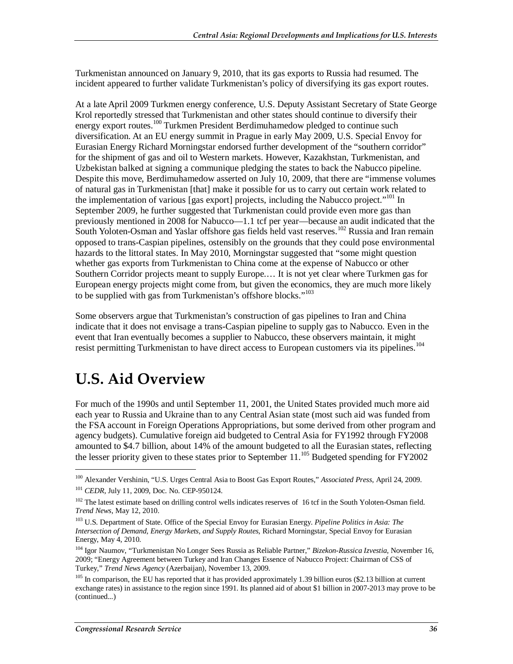Turkmenistan announced on January 9, 2010, that its gas exports to Russia had resumed. The incident appeared to further validate Turkmenistan's policy of diversifying its gas export routes.

At a late April 2009 Turkmen energy conference, U.S. Deputy Assistant Secretary of State George Krol reportedly stressed that Turkmenistan and other states should continue to diversify their energy export routes.<sup>100</sup> Turkmen President Berdimuhamedow pledged to continue such diversification. At an EU energy summit in Prague in early May 2009, U.S. Special Envoy for Eurasian Energy Richard Morningstar endorsed further development of the "southern corridor" for the shipment of gas and oil to Western markets. However, Kazakhstan, Turkmenistan, and Uzbekistan balked at signing a communique pledging the states to back the Nabucco pipeline. Despite this move, Berdimuhamedow asserted on July 10, 2009, that there are "immense volumes of natural gas in Turkmenistan [that] make it possible for us to carry out certain work related to the implementation of various [gas export] projects, including the Nabucco project."<sup>101</sup> In September 2009, he further suggested that Turkmenistan could provide even more gas than previously mentioned in 2008 for Nabucco—1.1 tcf per year—because an audit indicated that the South Yoloten-Osman and Yaslar offshore gas fields held vast reserves.<sup>102</sup> Russia and Iran remain opposed to trans-Caspian pipelines, ostensibly on the grounds that they could pose environmental hazards to the littoral states. In May 2010, Morningstar suggested that "some might question whether gas exports from Turkmenistan to China come at the expense of Nabucco or other Southern Corridor projects meant to supply Europe.… It is not yet clear where Turkmen gas for European energy projects might come from, but given the economics, they are much more likely to be supplied with gas from Turkmenistan's offshore blocks."<sup>103</sup>

Some observers argue that Turkmenistan's construction of gas pipelines to Iran and China indicate that it does not envisage a trans-Caspian pipeline to supply gas to Nabucco. Even in the event that Iran eventually becomes a supplier to Nabucco, these observers maintain, it might resist permitting Turkmenistan to have direct access to European customers via its pipelines.<sup>104</sup>

# **U.S. Aid Overview**

For much of the 1990s and until September 11, 2001, the United States provided much more aid each year to Russia and Ukraine than to any Central Asian state (most such aid was funded from the FSA account in Foreign Operations Appropriations, but some derived from other program and agency budgets). Cumulative foreign aid budgeted to Central Asia for FY1992 through FY2008 amounted to \$4.7 billion, about 14% of the amount budgeted to all the Eurasian states, reflecting the lesser priority given to these states prior to September 11.<sup>105</sup> Budgeted spending for FY2002

<sup>100</sup> Alexander Vershinin, "U.S. Urges Central Asia to Boost Gas Export Routes," *Associated Press*, April 24, 2009.

<sup>101</sup> *CEDR*, July 11, 2009, Doc. No. CEP-950124.

<sup>&</sup>lt;sup>102</sup> The latest estimate based on drilling control wells indicates reserves of 16 tcf in the South Yoloten-Osman field. *Trend News*, May 12, 2010.

<sup>103</sup> U.S. Department of State. Office of the Special Envoy for Eurasian Energy. *Pipeline Politics in Asia: The Intersection of Demand, Energy Markets, and Supply Routes*, Richard Morningstar, Special Envoy for Eurasian Energy, May 4, 2010.

<sup>104</sup> Igor Naumov, "Turkmenistan No Longer Sees Russia as Reliable Partner," *Bizekon-Russica Izvestia*, November 16, 2009; "Energy Agreement between Turkey and Iran Changes Essence of Nabucco Project: Chairman of CSS of Turkey," *Trend News Agency* (Azerbaijan), November 13, 2009.

 $105$  In comparison, the EU has reported that it has provided approximately 1.39 billion euros (\$2.13 billion at current exchange rates) in assistance to the region since 1991. Its planned aid of about \$1 billion in 2007-2013 may prove to be (continued...)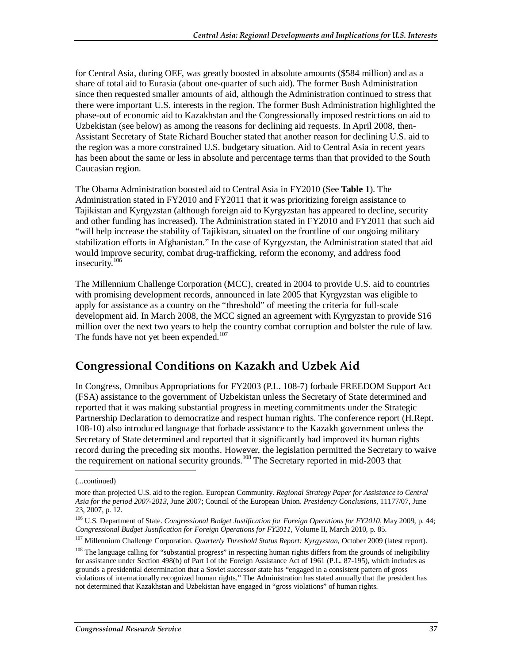for Central Asia, during OEF, was greatly boosted in absolute amounts (\$584 million) and as a share of total aid to Eurasia (about one-quarter of such aid). The former Bush Administration since then requested smaller amounts of aid, although the Administration continued to stress that there were important U.S. interests in the region. The former Bush Administration highlighted the phase-out of economic aid to Kazakhstan and the Congressionally imposed restrictions on aid to Uzbekistan (see below) as among the reasons for declining aid requests. In April 2008, then-Assistant Secretary of State Richard Boucher stated that another reason for declining U.S. aid to the region was a more constrained U.S. budgetary situation. Aid to Central Asia in recent years has been about the same or less in absolute and percentage terms than that provided to the South Caucasian region.

The Obama Administration boosted aid to Central Asia in FY2010 (See **Table 1**). The Administration stated in FY2010 and FY2011 that it was prioritizing foreign assistance to Tajikistan and Kyrgyzstan (although foreign aid to Kyrgyzstan has appeared to decline, security and other funding has increased). The Administration stated in FY2010 and FY2011 that such aid "will help increase the stability of Tajikistan, situated on the frontline of our ongoing military stabilization efforts in Afghanistan." In the case of Kyrgyzstan, the Administration stated that aid would improve security, combat drug-trafficking, reform the economy, and address food insecurity.<sup>106</sup>

The Millennium Challenge Corporation (MCC), created in 2004 to provide U.S. aid to countries with promising development records, announced in late 2005 that Kyrgyzstan was eligible to apply for assistance as a country on the "threshold" of meeting the criteria for full-scale development aid. In March 2008, the MCC signed an agreement with Kyrgyzstan to provide \$16 million over the next two years to help the country combat corruption and bolster the rule of law. The funds have not yet been expended.<sup>107</sup>

#### **Congressional Conditions on Kazakh and Uzbek Aid**

In Congress, Omnibus Appropriations for FY2003 (P.L. 108-7) forbade FREEDOM Support Act (FSA) assistance to the government of Uzbekistan unless the Secretary of State determined and reported that it was making substantial progress in meeting commitments under the Strategic Partnership Declaration to democratize and respect human rights. The conference report (H.Rept. 108-10) also introduced language that forbade assistance to the Kazakh government unless the Secretary of State determined and reported that it significantly had improved its human rights record during the preceding six months. However, the legislation permitted the Secretary to waive the requirement on national security grounds.<sup>108</sup> The Secretary reported in mid-2003 that

<sup>(...</sup>continued)

more than projected U.S. aid to the region. European Community. *Regional Strategy Paper for Assistance to Central Asia for the period 2007-2013*, June 2007; Council of the European Union. *Presidency Conclusions*, 11177/07, June 23, 2007, p. 12.

<sup>106</sup> U.S. Department of State. *Congressional Budget Justification for Foreign Operations for FY2010*, May 2009, p. 44; *Congressional Budget Justification for Foreign Operations for FY2011*, Volume II, March 2010, p. 85.

<sup>107</sup> Millennium Challenge Corporation. *Quarterly Threshold Status Report: Kyrgyzstan*, October 2009 (latest report).

<sup>&</sup>lt;sup>108</sup> The language calling for "substantial progress" in respecting human rights differs from the grounds of ineligibility for assistance under Section 498(b) of Part I of the Foreign Assistance Act of 1961 (P.L. 87-195), which includes as grounds a presidential determination that a Soviet successor state has "engaged in a consistent pattern of gross violations of internationally recognized human rights." The Administration has stated annually that the president has not determined that Kazakhstan and Uzbekistan have engaged in "gross violations" of human rights.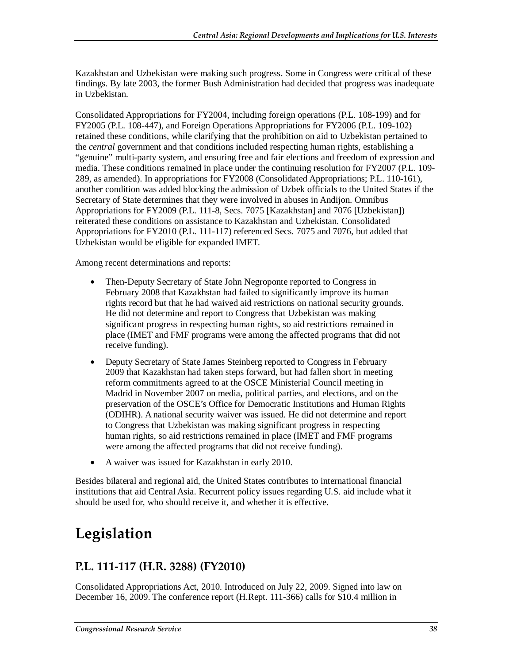Kazakhstan and Uzbekistan were making such progress. Some in Congress were critical of these findings. By late 2003, the former Bush Administration had decided that progress was inadequate in Uzbekistan.

Consolidated Appropriations for FY2004, including foreign operations (P.L. 108-199) and for FY2005 (P.L. 108-447), and Foreign Operations Appropriations for FY2006 (P.L. 109-102) retained these conditions, while clarifying that the prohibition on aid to Uzbekistan pertained to the *central* government and that conditions included respecting human rights, establishing a "genuine" multi-party system, and ensuring free and fair elections and freedom of expression and media. These conditions remained in place under the continuing resolution for FY2007 (P.L. 109- 289, as amended). In appropriations for FY2008 (Consolidated Appropriations; P.L. 110-161), another condition was added blocking the admission of Uzbek officials to the United States if the Secretary of State determines that they were involved in abuses in Andijon. Omnibus Appropriations for FY2009 (P.L. 111-8, Secs. 7075 [Kazakhstan] and 7076 [Uzbekistan]) reiterated these conditions on assistance to Kazakhstan and Uzbekistan. Consolidated Appropriations for FY2010 (P.L. 111-117) referenced Secs. 7075 and 7076, but added that Uzbekistan would be eligible for expanded IMET.

Among recent determinations and reports:

- Then-Deputy Secretary of State John Negroponte reported to Congress in February 2008 that Kazakhstan had failed to significantly improve its human rights record but that he had waived aid restrictions on national security grounds. He did not determine and report to Congress that Uzbekistan was making significant progress in respecting human rights, so aid restrictions remained in place (IMET and FMF programs were among the affected programs that did not receive funding).
- Deputy Secretary of State James Steinberg reported to Congress in February 2009 that Kazakhstan had taken steps forward, but had fallen short in meeting reform commitments agreed to at the OSCE Ministerial Council meeting in Madrid in November 2007 on media, political parties, and elections, and on the preservation of the OSCE's Office for Democratic Institutions and Human Rights (ODIHR). A national security waiver was issued. He did not determine and report to Congress that Uzbekistan was making significant progress in respecting human rights, so aid restrictions remained in place (IMET and FMF programs were among the affected programs that did not receive funding).
- A waiver was issued for Kazakhstan in early 2010.

Besides bilateral and regional aid, the United States contributes to international financial institutions that aid Central Asia. Recurrent policy issues regarding U.S. aid include what it should be used for, who should receive it, and whether it is effective.

# **Legislation**

#### **P.L. 111-117 (H.R. 3288) (FY2010)**

Consolidated Appropriations Act, 2010. Introduced on July 22, 2009. Signed into law on December 16, 2009. The conference report (H.Rept. 111-366) calls for \$10.4 million in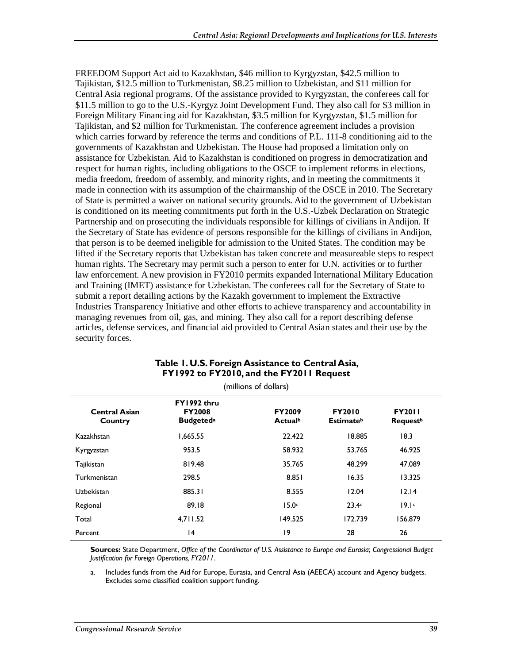FREEDOM Support Act aid to Kazakhstan, \$46 million to Kyrgyzstan, \$42.5 million to Tajikistan, \$12.5 million to Turkmenistan, \$8.25 million to Uzbekistan, and \$11 million for Central Asia regional programs. Of the assistance provided to Kyrgyzstan, the conferees call for \$11.5 million to go to the U.S.-Kyrgyz Joint Development Fund. They also call for \$3 million in Foreign Military Financing aid for Kazakhstan, \$3.5 million for Kyrgyzstan, \$1.5 million for Tajikistan, and \$2 million for Turkmenistan. The conference agreement includes a provision which carries forward by reference the terms and conditions of P.L. 111-8 conditioning aid to the governments of Kazakhstan and Uzbekistan. The House had proposed a limitation only on assistance for Uzbekistan. Aid to Kazakhstan is conditioned on progress in democratization and respect for human rights, including obligations to the OSCE to implement reforms in elections, media freedom, freedom of assembly, and minority rights, and in meeting the commitments it made in connection with its assumption of the chairmanship of the OSCE in 2010. The Secretary of State is permitted a waiver on national security grounds. Aid to the government of Uzbekistan is conditioned on its meeting commitments put forth in the U.S.-Uzbek Declaration on Strategic Partnership and on prosecuting the individuals responsible for killings of civilians in Andijon. If the Secretary of State has evidence of persons responsible for the killings of civilians in Andijon, that person is to be deemed ineligible for admission to the United States. The condition may be lifted if the Secretary reports that Uzbekistan has taken concrete and measureable steps to respect human rights. The Secretary may permit such a person to enter for U.N. activities or to further law enforcement. A new provision in FY2010 permits expanded International Military Education and Training (IMET) assistance for Uzbekistan. The conferees call for the Secretary of State to submit a report detailing actions by the Kazakh government to implement the Extractive Industries Transparency Initiative and other efforts to achieve transparency and accountability in managing revenues from oil, gas, and mining. They also call for a report describing defense articles, defense services, and financial aid provided to Central Asian states and their use by the security forces.

| (millions of dollars)           |                                                              |                                             |                                               |                                              |  |  |
|---------------------------------|--------------------------------------------------------------|---------------------------------------------|-----------------------------------------------|----------------------------------------------|--|--|
| <b>Central Asian</b><br>Country | FY1992 thru<br><b>FY2008</b><br><b>Budgeted</b> <sup>a</sup> | <b>FY2009</b><br><b>Actual</b> <sup>b</sup> | <b>FY2010</b><br><b>Estimate</b> <sup>b</sup> | <b>FY2011</b><br><b>Request</b> <sup>b</sup> |  |  |
| Kazakhstan                      | 1,665.55                                                     | 22.422                                      | 18.885                                        | 18.3                                         |  |  |
| Kyrgyzstan                      | 953.5                                                        | 58.932                                      | 53.765                                        | 46.925                                       |  |  |
| Tajikistan                      | 819.48                                                       | 35.765                                      | 48.299                                        | 47.089                                       |  |  |
| Turkmenistan                    | 298.5                                                        | 8.851                                       | 16.35                                         | 13.325                                       |  |  |
| Uzbekistan                      | 885.31                                                       | 8.555                                       | 12.04                                         | 12.14                                        |  |  |
| Regional                        | 89.18                                                        | 15.0 <sub>c</sub>                           | 23.4c                                         | 19.1c                                        |  |  |
| Total                           | 4,711.52                                                     | 149.525                                     | 172.739                                       | 156.879                                      |  |  |
| Percent                         | 4                                                            | 19                                          | 28                                            | 26                                           |  |  |

#### **Table 1. U.S. Foreign Assistance to Central Asia, FY1992 to FY2010, and the FY2011 Request**

**Sources:** State Department, *Office of the Coordinator of U.S. Assistance to Europe and Eurasia*; *Congressional Budget Justification for Foreign Operations, FY2011*.

a. Includes funds from the Aid for Europe, Eurasia, and Central Asia (AEECA) account and Agency budgets. Excludes some classified coalition support funding.